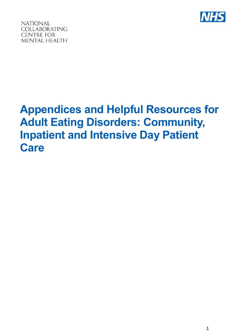

**NATIONAL** COLLABORATING **CENTRE FOR** MENTAL HEALTH

# **Appendices and Helpful Resources for Adult Eating Disorders: Community, Inpatient and Intensive Day Patient Care**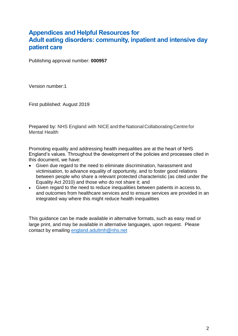# **Appendices and Helpful Resources for Adult eating disorders: community, inpatient and intensive day patient care**

Publishing approval number: **000957**

Version number:1

First published: August 2019

Prepared by: NHS England with NICE and the National Collaborating Centre for Mental Health

Promoting equality and addressing health inequalities are at the heart of NHS England's values. Throughout the development of the policies and processes cited in this document, we have:

- Given due regard to the need to eliminate discrimination, harassment and victimisation, to advance equality of opportunity, and to foster good relations between people who share a relevant protected characteristic (as cited under the Equality Act 2010) and those who do not share it; and
- Given regard to the need to reduce inequalities between patients in access to, and outcomes from healthcare services and to ensure services are provided in an integrated way where this might reduce health inequalities

This guidance can be made available in alternative formats, such as easy read or large print, and may be available in alternative languages, upon request. Please contact by emailing [england.adultmh@nhs.net](file:///C:/Users/sogara/AppData/Local/Microsoft/Windows/INetCache/Content.Outlook/JXN4FO4P/england.adultmh@nhs.net)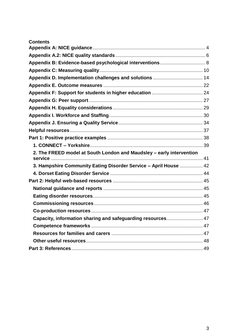| <b>Contents</b>                                                      |  |
|----------------------------------------------------------------------|--|
|                                                                      |  |
|                                                                      |  |
| Appendix B: Evidence-based psychological interventions 8             |  |
|                                                                      |  |
|                                                                      |  |
|                                                                      |  |
|                                                                      |  |
|                                                                      |  |
|                                                                      |  |
|                                                                      |  |
|                                                                      |  |
|                                                                      |  |
|                                                                      |  |
|                                                                      |  |
| 2. The FREED model at South London and Maudsley - early intervention |  |
| 3. Hampshire Community Eating Disorder Service - April House  42     |  |
|                                                                      |  |
|                                                                      |  |
|                                                                      |  |
|                                                                      |  |
|                                                                      |  |
|                                                                      |  |
| Capacity, information sharing and safeguarding resources 47          |  |
|                                                                      |  |
|                                                                      |  |
|                                                                      |  |
|                                                                      |  |
|                                                                      |  |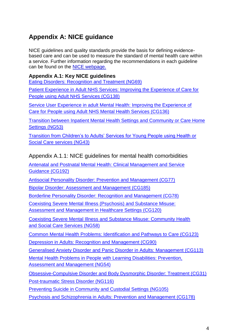# <span id="page-3-0"></span>**Appendix A: NICE guidance**

NICE guidelines and quality standards provide the basis for defining evidencebased care and can be used to measure the standard of mental health care within a service. Further information regarding the recommendations in each guideline can be found on the NICE [webpage.](https://www.nice.org.uk/)

## **Appendix A.1: Key NICE guidelines**

[Eating Disorders: Recognition and Treatment \(NG69\)](https://www.nice.org.uk/guidance/ng69)

[Patient Experience in Adult NHS Services: Improving the Experience of Care for](https://www.nice.org.uk/guidance/cg138)  [People](https://www.nice.org.uk/guidance/cg138) [using Adult NHS Services \(CG138\)](https://www.nice.org.uk/guidance/cg138)

[Service User Experience in adult Mental Health: Improving the Experience of](https://www.nice.org.uk/guidance/cg136)  [Care for](https://www.nice.org.uk/guidance/cg136) [People using Adult NHS Mental Health Services \(CG136\)](https://www.nice.org.uk/guidance/cg136)

[Transition between Inpatient Mental Health Settings and Community or Care Home](https://www.nice.org.uk/guidance/ng53)  [Settings](https://www.nice.org.uk/guidance/ng53) [\(NG53\)](https://www.nice.org.uk/guidance/ng53)

[Transition from Children's to Adults' Services for Young People using Health or](https://www.nice.org.uk/guidance/ng43)  [Social Care](https://www.nice.org.uk/guidance/ng43) [services \(NG43\)](https://www.nice.org.uk/guidance/ng43)

Appendix A.1.1: NICE guidelines for mental health comorbidities

[Antenatal and Postnatal Mental Health: Clinical Management and Service](https://www.nice.org.uk/guidance/cg192)  [Guidance](https://www.nice.org.uk/guidance/cg192) [\(CG192\)](https://www.nice.org.uk/guidance/cg192)

[Antisocial Personality Disorder: Prevention and Management \(CG77\)](https://www.nice.org.uk/guidance/cg77)

[Bipolar Disorder: Assessment and Management \(CG185\)](https://www.nice.org.uk/guidance/cg185)

[Borderline Personality Disorder: Recognition and Management \(CG78\)](https://www.nice.org.uk/guidance/cg78)

[Coexisting Severe Mental Illness \(Psychosis\) and Substance Misuse:](https://www.nice.org.uk/guidance/cg120) 

[Assessment and](https://www.nice.org.uk/guidance/cg120) [Management in Healthcare Settings \(CG120\)](https://www.nice.org.uk/guidance/cg120)

[Coexisting Severe Mental Illness and Substance Misuse: Community Health](https://www.nice.org.uk/guidance/ng58)  [and Social](https://www.nice.org.uk/guidance/ng58) [Care Services \(NG58\)](https://www.nice.org.uk/guidance/ng58)

[Common Mental Health Problems: Identification and Pathways to Care \(CG123\)](https://www.nice.org.uk/guidance/cg123)

[Depression in Adults: Recognition and Management \(CG90\)](https://www.nice.org.uk/guidance/cg90)

[Generalised Anxiety Disorder and Panic Disorder in Adults: Management \(CG113\)](https://www.nice.org.uk/guidance/cg113)

[Mental Health Problems in People with Learning Disabilities: Prevention,](https://www.nice.org.uk/guidance/ng54)  [Assessment and](https://www.nice.org.uk/guidance/ng54) [Management \(NG54\)](https://www.nice.org.uk/guidance/ng54)

[Obsessive-Compulsive Disorder and Body Dysmorphic Disorder: Treatment \(CG31\)](https://www.nice.org.uk/guidance/cg31) [Post-traumatic Stress Disorder \(NG116\)](https://www.nice.org.uk/guidance/ng116)

[Preventing Suicide in Community and Custodial Settings \(NG105\)](https://www.nice.org.uk/guidance/indevelopment/gid-phg95)

[Psychosis and Schizophrenia in Adults: Prevention and Management \(CG178\)](https://www.nice.org.uk/guidance/cg178)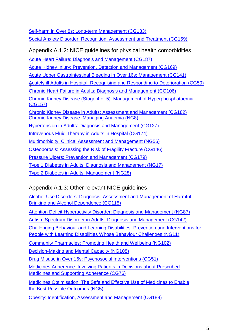[Self-harm in Over 8s: Long-term Management \(CG133\)](https://www.nice.org.uk/guidance/cg133) [Social Anxiety Disorder: Recognition, Assessment and Treatment \(CG159\)](https://www.nice.org.uk/guidance/cg159)

| Appendix A.1.2: NICE guidelines for physical health comorbidities                                                                   |
|-------------------------------------------------------------------------------------------------------------------------------------|
| <b>Acute Heart Failure: Diagnosis and Management (CG187)</b>                                                                        |
| <b>Acute Kidney Injury: Prevention, Detection and Management (CG169)</b>                                                            |
| Acute Upper Gastrointestinal Bleeding in Over 16s: Management (CG141)                                                               |
| Acutely ill Adults in Hospital: Recognising and Responding to Deterioration (CG50)                                                  |
| <b>Chronic Heart Failure in Adults: Diagnosis and Management (CG106)</b>                                                            |
| Chronic Kidney Disease (Stage 4 or 5): Management of Hyperphosphataemia<br>(CG157)                                                  |
| <b>Chronic Kidney Disease in Adults: Assessment and Management (CG182)</b><br><b>Chronic Kidney Disease: Managing Anaemia (NG8)</b> |
| <b>Hypertension in Adults: Diagnosis and Management (CG127)</b>                                                                     |
| <u>Intravenous Fluid Therapy in Adults in Hospital (CG174)</u>                                                                      |
| <b>Multimorbidity: Clinical Assessment and Management (NG56)</b>                                                                    |
| Osteoporosis: Assessing the Risk of Fragility Fracture (CG146)                                                                      |
| <b>Pressure Ulcers: Prevention and Management (CG179)</b>                                                                           |
| <b>Type 1 Diabetes in Adults: Diagnosis and Management (NG17)</b>                                                                   |
| <b>Type 2 Diabetes in Adults: Management (NG28)</b>                                                                                 |

# Appendix A.1.3: Other relevant NICE guidelines

[Alcohol-Use Disorders: Diagnosis, Assessment and Management of Harmful](https://www.nice.org.uk/guidance/cg115)  [Drinking and](https://www.nice.org.uk/guidance/cg115) [Alcohol Dependence \(CG115\)](https://www.nice.org.uk/guidance/cg115)

[Attention Deficit Hyperactivity Disorder: Diagnosis and Management \(NG87\)](https://www.nice.org.uk/guidance/ng87)

[Autism Spectrum Disorder in Adults: Diagnosis and Management \(CG142\)](https://www.nice.org.uk/guidance/cg142)

[Challenging Behaviour and Learning Disabilities: Prevention and Interventions for](https://www.nice.org.uk/guidance/ng11)  [People](https://www.nice.org.uk/guidance/ng11) [with Learning Disabilities Whose Behaviour Challenges \(NG11\)](https://www.nice.org.uk/guidance/ng11)

[Community Pharmacies: Promoting Health and Wellbeing \(NG102\)](https://www.nice.org.uk/guidance/indevelopment/gid-ng10008)

[Decision-Making and Mental Capacity \(NG108\)](https://www.nice.org.uk/guidance/NG108)

[Drug Misuse in Over 16s: Psychosocial Interventions \(CG51\)](https://www.nice.org.uk/guidance/cg51)

[Medicines Adherence: Involving Patients in Decisions about Prescribed](https://www.nice.org.uk/guidance/cg76)  [Medicines and](https://www.nice.org.uk/guidance/cg76) [Supporting Adherence \(CG76\)](https://www.nice.org.uk/guidance/cg76)

[Medicines Optimisation: The Safe and Effective Use of Medicines to Enable](https://www.nice.org.uk/guidance/ng5)  [the Best](https://www.nice.org.uk/guidance/ng5) [Possible Outcomes \(NG5\)](https://www.nice.org.uk/guidance/ng5)

[Obesity: Identification, Assessment and Management \(CG189\)](https://www.nice.org.uk/guidance/cg189)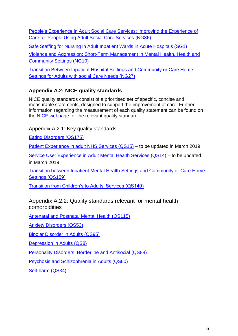[People's Experience in Adult Social Care Services: Improving the Experience of](https://www.nice.org.uk/guidance/ng86)  [Care for](https://www.nice.org.uk/guidance/ng86) [People Using Adult Social Care Services \(NG86\)](https://www.nice.org.uk/guidance/ng86)

[Safe Staffing for Nursing in Adult Inpatient Wards in Acute Hospitals \(SG1\)](https://www.nice.org.uk/guidance/sg1)

[Violence and Aggression: Short-Term Management in Mental Health, Health and](https://www.nice.org.uk/guidance/ng10)  [Community](https://www.nice.org.uk/guidance/ng10) [Settings \(NG10\)](https://www.nice.org.uk/guidance/ng10)

[Transition Between Inpatient Hospital Settings and Community or Care Home](https://www.nice.org.uk/guidance/ng27)  [Settings for](https://www.nice.org.uk/guidance/ng27) [Adults with social Care Needs \(NG27\)](https://www.nice.org.uk/guidance/ng27)

## <span id="page-5-0"></span>**Appendix A.2: NICE quality standards**

NICE quality standards consist of a prioritised set of specific, concise and measurable statements, designed to support the improvement of care. Further information regarding the measurement of each quality statement can be found on the [NICE webpage](https://www.nice.org.uk/) for the relevant quality standard.

## Appendix A.2.1: Key quality standards

[Eating Disorders \(QS175\)](https://www.nice.org.uk/guidance/qs175)

[Patient Experience in adult NHS Services \(QS15\)](https://www.nice.org.uk/guidance/qs15) – to be updated in March 2019

[Service User Experience in Adult Mental Health Services \(QS14\)](https://www.nice.org.uk/guidance/qs14) – to be updated in March 2019

[Transition between Inpatient Mental Health Settings and Community or Care Home](https://www.nice.org.uk/guidance/qs159)  [Settings](https://www.nice.org.uk/guidance/qs159) [\(QS159\)](https://www.nice.org.uk/guidance/qs159)

[Transition from Children's to Adults' Services \(QS140\)](https://www.nice.org.uk/guidance/qs140)

## Appendix A.2.2: Quality standards relevant for mental health comorbidities

[Antenatal and Postnatal Mental Health \(QS115\)](https://www.nice.org.uk/guidance/qs115)

[Anxiety Disorders \(QS53\)](https://www.nice.org.uk/guidance/qs53)

[Bipolar Disorder in Adults \(QS95\)](https://www.nice.org.uk/guidance/qs95)

[Depression in Adults \(QS8\)](https://www.nice.org.uk/guidance/qs8)

[Personality Disorders: Borderline and Antisocial \(QS88\)](https://www.nice.org.uk/guidance/qs88)

[Psychosis and Schizophrenia in Adults \(QS80\)](https://www.nice.org.uk/guidance/qs80)

[Self-harm \(QS34\)](https://www.nice.org.uk/guidance/qs34)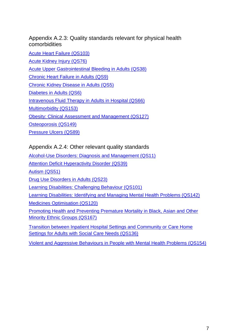Appendix A.2.3: Quality standards relevant for physical health comorbidities

[Acute Heart Failure \(QS103\)](https://www.nice.org.uk/guidance/qs103) [Acute Kidney Injury \(QS76\)](https://www.nice.org.uk/guidance/qs76) [Acute Upper Gastrointestinal Bleeding in Adults \(QS38\)](https://www.nice.org.uk/guidance/qs38) [Chronic Heart Failure in Adults \(QS9\)](https://www.nice.org.uk/guidance/qs9) [Chronic Kidney Disease in Adults \(QS5\)](https://www.nice.org.uk/guidance/qs5) [Diabetes in Adults \(QS6\)](https://www.nice.org.uk/guidance/qs6) [Intravenous Fluid Therapy in Adults in Hospital \(QS66\)](https://www.nice.org.uk/guidance/qs66) [Multimorbidity \(QS153\)](https://www.nice.org.uk/guidance/qs153) [Obesity: Clinical Assessment and Management \(QS127\)](https://www.nice.org.uk/guidance/qs127) [Osteoporosis \(QS149\)](https://www.nice.org.uk/guidance/qs149) [Pressure Ulcers \(QS89\)](https://www.nice.org.uk/guidance/qs89)

## Appendix A.2.4: Other relevant quality standards

[Alcohol-Use Disorders: Diagnosis and Management \(QS11\)](https://www.nice.org.uk/guidance/qs11) [Attention Deficit Hyperactivity Disorder \(QS39\)](https://www.nice.org.uk/guidance/qs39) [Autism \(QS51\)](https://www.nice.org.uk/guidance/qs51) [Drug Use Disorders in Adults \(QS23\)](https://www.nice.org.uk/guidance/qs23) [Learning Disabilities: Challenging Behaviour \(QS101\)](https://www.nice.org.uk/guidance/qs101) [Learning Disabilities: Identifying and Managing Mental Health Problems \(QS142\)](https://www.nice.org.uk/guidance/qs142) [Medicines Optimisation \(QS120\)](https://www.nice.org.uk/guidance/qs120) [Promoting Health and Preventing Premature Mortality in Black, Asian and Other](https://www.nice.org.uk/guidance/qs167)  [Minority](https://www.nice.org.uk/guidance/qs167) [Ethnic Groups \(QS167\)](https://www.nice.org.uk/guidance/qs167) [Transition between Inpatient Hospital Settings and Community or Care Home](https://www.nice.org.uk/guidance/qs136)  [Settings for](https://www.nice.org.uk/guidance/qs136) [Adults with Social Care Needs \(QS136\)](https://www.nice.org.uk/guidance/qs136)

[Violent and Aggressive Behaviours in People with Mental Health Problems \(QS154\)](https://www.nice.org.uk/guidance/qs154)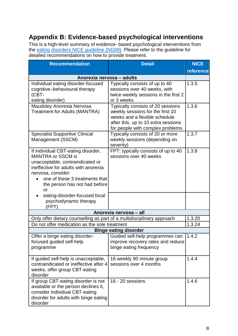# <span id="page-7-0"></span>**Appendix B: Evidence-based psychological interventions**

This is a high-level summary of evidence- based psychological interventions from the **eating disorders NICE guideline (NG69)**. Please refer to the guideline for detailed recommendations on how to provide treatment.

| <b>Recommendation</b><br><b>Detail</b>                                                                                                                                                                                                    |                                                                                                                                                                                   | <b>NICE</b> |  |
|-------------------------------------------------------------------------------------------------------------------------------------------------------------------------------------------------------------------------------------------|-----------------------------------------------------------------------------------------------------------------------------------------------------------------------------------|-------------|--|
|                                                                                                                                                                                                                                           |                                                                                                                                                                                   | reference   |  |
| Anorexia nervosa - adults                                                                                                                                                                                                                 |                                                                                                                                                                                   |             |  |
| Individual eating disorder-focused<br>cognitive-behavioural therapy<br>(CBT-<br>eating disorder)                                                                                                                                          | Typically consists of up to 40<br>sessions over 40 weeks, with<br>twice-weekly sessions in the first 2<br>or 3 weeks                                                              | 1.3.5       |  |
| Maudsley Anorexia Nervosa<br><b>Treatment for Adults (MANTRA)</b>                                                                                                                                                                         | Typically consists of 20 sessions<br>weekly sessions for the first 10<br>weeks and a flexible schedule<br>after this, up to 10 extra sessions<br>for people with complex problems | 1.3.6       |  |
| <b>Specialist Supportive Clinical</b><br>Management (SSCM)                                                                                                                                                                                | Typically consists of 20 or more<br>weekly sessions (depending on<br>severity)                                                                                                    | 1.3.7       |  |
| If individual CBT-eating disorder,<br><b>MANTRA or SSCM is</b><br>unacceptable, contraindicated or<br>ineffective for adults with anorexia<br>nervosa, consider:<br>one of these 3 treatments that<br>the person has not had before<br>or | FPT: typically consists of up to 40<br>sessions over 40 weeks                                                                                                                     | 1.3.8       |  |
| eating-disorder-focused focal<br>psychodynamic therapy<br>(FPT)                                                                                                                                                                           |                                                                                                                                                                                   |             |  |
| Anorexia nervosa - all                                                                                                                                                                                                                    |                                                                                                                                                                                   |             |  |
| Only offer dietary counselling as part of a multidisciplinary approach                                                                                                                                                                    |                                                                                                                                                                                   | 1.3.20      |  |
| Do not offer medication as the sole treatment                                                                                                                                                                                             |                                                                                                                                                                                   | 1.3.24      |  |
|                                                                                                                                                                                                                                           | <b>Binge eating disorder</b>                                                                                                                                                      |             |  |
| Offer a binge eating disorder-<br>focused guided self-help<br>programme                                                                                                                                                                   | Guided self-help programmes can<br>improve recovery rates and reduce<br>binge eating frequency                                                                                    | 1.4.2       |  |
| If guided self-help is unacceptable,<br>contraindicated or ineffective after 4<br>weeks, offer group CBT-eating<br>disorder                                                                                                               | 16 weekly 90 minute group<br>sessions over 4 months                                                                                                                               | 1.4.4       |  |
| If group CBT-eating disorder is not<br>available or the person declines it,<br>consider individual CBT-eating<br>disorder for adults with binge eating<br>disorder                                                                        | 16 - 20 sessions                                                                                                                                                                  | 1.4.6       |  |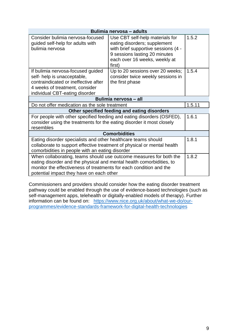| Bulimia nervosa - adults                                                                                                                                                                                                                                              |                                                                                                                                                                                    |       |  |
|-----------------------------------------------------------------------------------------------------------------------------------------------------------------------------------------------------------------------------------------------------------------------|------------------------------------------------------------------------------------------------------------------------------------------------------------------------------------|-------|--|
| Consider bulimia nervosa-focused<br>guided self-help for adults with<br>bulimia nervosa                                                                                                                                                                               | Use CBT self-help materials for<br>eating disorders; supplement<br>with brief supportive sessions (4 -<br>9 sessions lasting 20 minutes<br>each over 16 weeks, weekly at<br>first) | 1.5.2 |  |
| If bulimia nervosa-focused guided<br>self- help is unacceptable,<br>contraindicated or ineffective after<br>4 weeks of treatment, consider<br>individual CBT-eating disorder                                                                                          | Up to 20 sessions over 20 weeks;<br>consider twice weekly sessions in<br>the first phase                                                                                           | 1.5.4 |  |
| Bulimia nervosa - all                                                                                                                                                                                                                                                 |                                                                                                                                                                                    |       |  |
| 1.5.11<br>Do not offer medication as the sole treatment                                                                                                                                                                                                               |                                                                                                                                                                                    |       |  |
| Other specified feeding and eating disorders<br>1.6.1                                                                                                                                                                                                                 |                                                                                                                                                                                    |       |  |
| For people with other specified feeding and eating disorders (OSFED),<br>consider using the treatments for the eating disorder it most closely<br>resembles                                                                                                           |                                                                                                                                                                                    |       |  |
| <b>Comorbidities</b>                                                                                                                                                                                                                                                  |                                                                                                                                                                                    |       |  |
| 1.8.1<br>Eating disorder specialists and other healthcare teams should<br>collaborate to support effective treatment of physical or mental health<br>comorbidities in people with an eating disorder                                                                  |                                                                                                                                                                                    |       |  |
| 1.8.2<br>When collaborating, teams should use outcome measures for both the<br>eating disorder and the physical and mental health comorbidities, to<br>monitor the effectiveness of treatments for each condition and the<br>potential impact they have on each other |                                                                                                                                                                                    |       |  |

Commissioners and providers should consider how the eating disorder treatment pathway could be enabled through the use of evidence-based technologies (such as self-management apps, telehealth or digitally-enabled models of therapy). Further information can be found on: [https://www.nice.org.uk/about/what-we-do/our](https://www.nice.org.uk/about/what-we-do/our-programmes/evidence-standards-framework-for-digital-health-technologies)[programmes/evidence-standards-framework-for-digital-health-technologies](https://www.nice.org.uk/about/what-we-do/our-programmes/evidence-standards-framework-for-digital-health-technologies)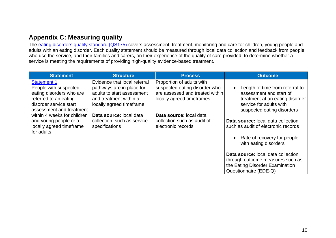# **Appendix C: Measuring quality**

The [eating disorders quality standard \(QS175\)](https://www.nice.org.uk/guidance/qs175) covers assessment, treatment, monitoring and care for children, young people and adults with an eating disorder. Each quality statement should be measured through local data collection and feedback from people who use the service, and their families and carers, on their experience of the quality of care provided, to determine whether a service is meeting the requirements of providing high-quality evidence-based treatment.

<span id="page-9-0"></span>

| <b>Statement</b>                                                                                                                                       | <b>Structure</b>                                                                                                                              | <b>Process</b>                                                                                                             | <b>Outcome</b>                                                                                                                                         |
|--------------------------------------------------------------------------------------------------------------------------------------------------------|-----------------------------------------------------------------------------------------------------------------------------------------------|----------------------------------------------------------------------------------------------------------------------------|--------------------------------------------------------------------------------------------------------------------------------------------------------|
| <b>Statement 1</b><br>People with suspected<br>eating disorders who are<br>referred to an eating<br>disorder service start<br>assessment and treatment | Evidence that local referral<br>pathways are in place for<br>adults to start assessment<br>and treatment within a<br>locally agreed timeframe | Proportion of adults with<br>suspected eating disorder who<br>are assessed and treated within<br>locally agreed timeframes | Length of time from referral to<br>assessment and start of<br>treatment at an eating disorder<br>service for adults with<br>suspected eating disorders |
| within 4 weeks for children                                                                                                                            | Data source: local data                                                                                                                       | Data source: local data                                                                                                    |                                                                                                                                                        |
| and young people or a<br>locally agreed timeframe<br>for adults                                                                                        | collection, such as service<br>specifications                                                                                                 | collection such as audit of<br>electronic records                                                                          | Data source: local data collection<br>such as audit of electronic records                                                                              |
|                                                                                                                                                        |                                                                                                                                               |                                                                                                                            | Rate of recovery for people<br>with eating disorders                                                                                                   |
|                                                                                                                                                        |                                                                                                                                               |                                                                                                                            | <b>Data source:</b> local data collection                                                                                                              |
|                                                                                                                                                        |                                                                                                                                               |                                                                                                                            | through outcome measures such as                                                                                                                       |
|                                                                                                                                                        |                                                                                                                                               |                                                                                                                            | the Eating Disorder Examination                                                                                                                        |
|                                                                                                                                                        |                                                                                                                                               |                                                                                                                            | Questionnaire (EDE-Q)                                                                                                                                  |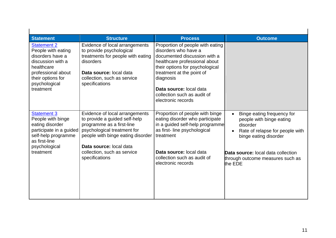| <b>Statement</b><br><b>Statement 2</b><br>People with eating<br>disorders have a<br>discussion with a<br>healthcare<br>professional about<br>their options for<br>psychological<br>treatment | <b>Structure</b><br>Evidence of local arrangements<br>to provide psychological<br>treatments for people with eating<br>disorders<br>Data source: local data<br>collection, such as service<br>specifications | <b>Process</b><br>Proportion of people with eating<br>disorders who have a<br>documented discussion with a<br>healthcare professional about<br>their options for psychological<br>treatment at the point of<br>diagnosis<br>Data source: local data<br>collection such as audit of | <b>Outcome</b>                                                                                                                                           |
|----------------------------------------------------------------------------------------------------------------------------------------------------------------------------------------------|--------------------------------------------------------------------------------------------------------------------------------------------------------------------------------------------------------------|------------------------------------------------------------------------------------------------------------------------------------------------------------------------------------------------------------------------------------------------------------------------------------|----------------------------------------------------------------------------------------------------------------------------------------------------------|
| <b>Statement 3</b><br>People with binge<br>eating disorder<br>participate in a guided<br>self-help programme<br>as first-line                                                                | Evidence of local arrangements<br>to provide a guided self-help<br>programme as a first-line<br>psychological treatment for<br>people with binge eating disorder                                             | electronic records<br>Proportion of people with binge<br>eating disorder who participate<br>in a guided self-help programme<br>as first-line psychological<br>treatment                                                                                                            | Binge eating frequency for<br>$\bullet$<br>people with binge eating<br>disorder<br>Rate of relapse for people with<br>$\bullet$<br>binge eating disorder |
| psychological<br>treatment                                                                                                                                                                   | Data source: local data<br>collection, such as service<br>specifications                                                                                                                                     | Data source: local data<br>collection such as audit of<br>electronic records                                                                                                                                                                                                       | <b>Data source:</b> local data collection<br>through outcome measures such as<br>the EDE                                                                 |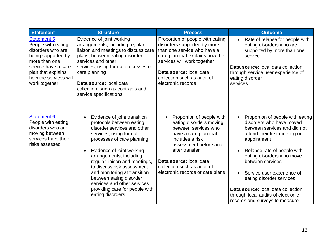| <b>Statement</b>                                                                                                                                                                            | <b>Structure</b>                                                                                                                                                                                                                                                                                                                                                                                                                                 | <b>Process</b>                                                                                                                                                                                                                                                                 | <b>Outcome</b>                                                                                                                                                                                                                                                                                                                                                                                                    |
|---------------------------------------------------------------------------------------------------------------------------------------------------------------------------------------------|--------------------------------------------------------------------------------------------------------------------------------------------------------------------------------------------------------------------------------------------------------------------------------------------------------------------------------------------------------------------------------------------------------------------------------------------------|--------------------------------------------------------------------------------------------------------------------------------------------------------------------------------------------------------------------------------------------------------------------------------|-------------------------------------------------------------------------------------------------------------------------------------------------------------------------------------------------------------------------------------------------------------------------------------------------------------------------------------------------------------------------------------------------------------------|
| <b>Statement 5</b><br>People with eating<br>disorders who are<br>being supported by<br>more than one<br>service have a care<br>plan that explains<br>how the services will<br>work together | Evidence of joint working<br>arrangements, including regular<br>liaison and meetings to discuss care<br>plans, between eating disorder<br>services and other<br>services, using formal processes of<br>care planning<br>Data source: local data<br>collection, such as contracts and<br>service specifications                                                                                                                                   | Proportion of people with eating<br>disorders supported by more<br>than one service who have a<br>care plan that explains how the<br>services will work together<br>Data source: local data<br>collection such as audit of<br>electronic records                               | Rate of relapse for people with<br>$\bullet$<br>eating disorders who are<br>supported by more than one<br>service<br><b>Data source:</b> local data collection<br>through service user experience of<br>eating disorder<br>services                                                                                                                                                                               |
| <b>Statement 6</b><br>People with eating<br>disorders who are<br>moving between<br>services have their<br>risks assessed                                                                    | Evidence of joint transition<br>$\bullet$<br>protocols between eating<br>disorder services and other<br>services, using formal<br>processes of care planning<br>Evidence of joint working<br>$\bullet$<br>arrangements, including<br>regular liaison and meetings,<br>to discuss risk assessment<br>and monitoring at transition<br>between eating disorder<br>services and other services<br>providing care for people with<br>eating disorders | Proportion of people with<br>$\bullet$<br>eating disorders moving<br>between services who<br>have a care plan that<br>includes a risk<br>assessment before and<br>after transfer<br>Data source: local data<br>collection such as audit of<br>electronic records or care plans | Proportion of people with eating<br>$\bullet$<br>disorders who have moved<br>between services and did not<br>attend their first meeting or<br>appointment<br>Relapse rate of people with<br>eating disorders who move<br>between services<br>Service user experience of<br>eating disorder services<br>Data source: local data collection<br>through local audits of electronic<br>records and surveys to measure |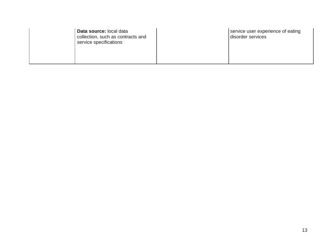| Data source: local data<br>collection, such as contracts and<br>service specifications | service user experience of eating<br>disorder services |
|----------------------------------------------------------------------------------------|--------------------------------------------------------|
|                                                                                        |                                                        |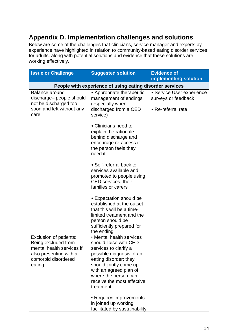# <span id="page-13-0"></span>**Appendix D. Implementation challenges and solutions**

Below are some of the challenges that clinicians, service manager and experts by experience have highlighted in relation to community-based eating disorder services for adults, along with potential solutions and evidence that these solutions are working effectively.

| <b>Issue or Challenge</b>                                                  | <b>Suggested solution</b>                                                                                                                                                                                                                                                                                                     | <b>Evidence of</b>        |
|----------------------------------------------------------------------------|-------------------------------------------------------------------------------------------------------------------------------------------------------------------------------------------------------------------------------------------------------------------------------------------------------------------------------|---------------------------|
|                                                                            |                                                                                                                                                                                                                                                                                                                               | implementing solution     |
|                                                                            | People with experience of using eating disorder services                                                                                                                                                                                                                                                                      |                           |
| <b>Balance around</b>                                                      | • Appropriate therapeutic                                                                                                                                                                                                                                                                                                     | · Service User experience |
| discharge- people should                                                   | management of endings                                                                                                                                                                                                                                                                                                         | surveys or feedback       |
| not be discharged too<br>soon and left without any                         | (especially when                                                                                                                                                                                                                                                                                                              |                           |
| care                                                                       | discharged from a CED<br>service)                                                                                                                                                                                                                                                                                             | • Re-referral rate        |
|                                                                            |                                                                                                                                                                                                                                                                                                                               |                           |
|                                                                            | • Clinicians need to                                                                                                                                                                                                                                                                                                          |                           |
|                                                                            | explain the rationale                                                                                                                                                                                                                                                                                                         |                           |
|                                                                            | behind discharge and                                                                                                                                                                                                                                                                                                          |                           |
|                                                                            | encourage re-access if<br>the person feels they                                                                                                                                                                                                                                                                               |                           |
|                                                                            | need it                                                                                                                                                                                                                                                                                                                       |                           |
|                                                                            |                                                                                                                                                                                                                                                                                                                               |                           |
|                                                                            | • Self-referral back to<br>services available and                                                                                                                                                                                                                                                                             |                           |
|                                                                            | promoted to people using                                                                                                                                                                                                                                                                                                      |                           |
|                                                                            | CED services, their                                                                                                                                                                                                                                                                                                           |                           |
|                                                                            | families or carers                                                                                                                                                                                                                                                                                                            |                           |
|                                                                            |                                                                                                                                                                                                                                                                                                                               |                           |
|                                                                            |                                                                                                                                                                                                                                                                                                                               |                           |
|                                                                            | that this will be a time-                                                                                                                                                                                                                                                                                                     |                           |
|                                                                            | limited treatment and the                                                                                                                                                                                                                                                                                                     |                           |
|                                                                            |                                                                                                                                                                                                                                                                                                                               |                           |
|                                                                            |                                                                                                                                                                                                                                                                                                                               |                           |
| Exclusion of patients:                                                     | • Mental health services                                                                                                                                                                                                                                                                                                      |                           |
| Being excluded from                                                        | should liaise with CED                                                                                                                                                                                                                                                                                                        |                           |
|                                                                            |                                                                                                                                                                                                                                                                                                                               |                           |
|                                                                            |                                                                                                                                                                                                                                                                                                                               |                           |
| eating                                                                     | should jointly come up                                                                                                                                                                                                                                                                                                        |                           |
|                                                                            | with an agreed plan of                                                                                                                                                                                                                                                                                                        |                           |
|                                                                            |                                                                                                                                                                                                                                                                                                                               |                           |
|                                                                            |                                                                                                                                                                                                                                                                                                                               |                           |
|                                                                            |                                                                                                                                                                                                                                                                                                                               |                           |
|                                                                            | • Requires improvements                                                                                                                                                                                                                                                                                                       |                           |
|                                                                            |                                                                                                                                                                                                                                                                                                                               |                           |
| mental health services if<br>also presenting with a<br>comorbid disordered | • Expectation should be<br>established at the outset<br>person should be<br>sufficiently prepared for<br>the ending<br>services to clarify a<br>possible diagnosis of an<br>eating disorder; they<br>where the person can<br>receive the most effective<br>treatment<br>in joined up working<br>facilitated by sustainability |                           |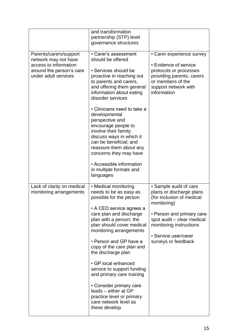|                                                                                                                             | and transformation<br>partnership (STP) level<br>governance structures                                                                                                                                                                                                                                                                                                                                                                                                                                       |                                                                                                                                                                                                                                     |
|-----------------------------------------------------------------------------------------------------------------------------|--------------------------------------------------------------------------------------------------------------------------------------------------------------------------------------------------------------------------------------------------------------------------------------------------------------------------------------------------------------------------------------------------------------------------------------------------------------------------------------------------------------|-------------------------------------------------------------------------------------------------------------------------------------------------------------------------------------------------------------------------------------|
| Parents/carers/support<br>network may not have<br>access to information<br>around the person's care<br>under adult services | • Carer's assessment<br>should be offered<br>• Services should be<br>proactive in reaching out<br>to parents and carers,<br>and offering them general<br>information about eating<br>disorder services<br>• Clinicians need to take a<br>developmental<br>perspective and<br>encourage people to<br>involve their family;<br>discuss ways in which it<br>can be beneficial; and<br>reassure them about any<br>concerns they may have<br>• Accessible information<br>in multiple formats and<br>languages     | • Carer experience survey<br>• Evidence of service<br>protocols or processes<br>providing parents, carers<br>or members of the<br>support network with<br>information                                                               |
| Lack of clarity on medical<br>monitoring arrangements                                                                       | • Medical monitoring<br>needs to be as easy as<br>possible for the person<br>• A CED service agrees a<br>care plan and discharge<br>plan with a person; the<br>plan should cover medical<br>monitoring arrangements<br>• Person and GP have a<br>copy of the care plan and<br>the discharge plan<br>• GP local enhanced<br>service to support funding<br>and primary care training<br>• Consider primary care<br>leads - either at GP<br>practice level or primary<br>care network level as<br>these develop | • Sample audit of care<br>plans or discharge plans<br>(for inclusion of medical<br>monitoring)<br>• Person and primary care<br>spot audit - clear medical<br>monitoring instructions<br>• Service user/carer<br>surveys or feedback |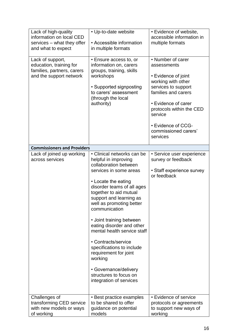| Lack of high-quality<br>information on local CED<br>services - what they offer<br>and what to expect | • Up-to-date website<br>• Accessible information<br>in multiple formats                                                                                                                                                                                                                                                                                                                                                                                                                                                    | • Evidence of website,<br>accessible information in<br>multiple formats                                                                                                                                                                             |
|------------------------------------------------------------------------------------------------------|----------------------------------------------------------------------------------------------------------------------------------------------------------------------------------------------------------------------------------------------------------------------------------------------------------------------------------------------------------------------------------------------------------------------------------------------------------------------------------------------------------------------------|-----------------------------------------------------------------------------------------------------------------------------------------------------------------------------------------------------------------------------------------------------|
| Lack of support,<br>education, training for<br>families, partners, carers<br>and the support network | • Ensure access to, or<br>information on, carers<br>groups, training, skills<br>workshops<br>• Supported signposting<br>to carers' assessment<br>(through the local<br>authority)                                                                                                                                                                                                                                                                                                                                          | • Number of carer<br>assessments<br>• Evidence of joint<br>working with other<br>services to support<br>families and carers<br>• Evidence of carer<br>protocols within the CED<br>service<br>• Evidence of CCG-<br>commissioned carers'<br>services |
| <b>Commissioners and Providers</b>                                                                   |                                                                                                                                                                                                                                                                                                                                                                                                                                                                                                                            |                                                                                                                                                                                                                                                     |
| Lack of joined up working<br>across services                                                         | • Clinical networks can be<br>helpful in improving<br>collaboration between<br>services in some areas<br>• Locate the eating<br>disorder teams of all ages<br>together to aid mutual<br>support and learning as<br>well as promoting better<br>communication<br>• Joint training between<br>eating disorder and other<br>mental health service staff<br>• Contracts/service<br>specifications to include<br>requirement for joint<br>working<br>• Governance/delivery<br>structures to focus on<br>integration of services | • Service user experience<br>survey or feedback<br>• Staff experience survey<br>or feedback                                                                                                                                                         |
| Challenges of<br>transforming CED service<br>with new models or ways<br>of working                   | • Best practice examples<br>to be shared to offer<br>guidance on potential<br>models                                                                                                                                                                                                                                                                                                                                                                                                                                       | • Evidence of service<br>protocols or agreements<br>to support new ways of<br>working                                                                                                                                                               |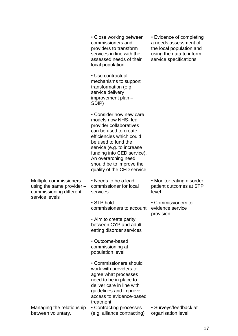|                                                                                  | • Close working between<br>commissioners and<br>providers to transform<br>services in line with the<br>assessed needs of their<br>local population<br>• Use contractual<br>mechanisms to support<br>transformation (e.g.<br>service delivery<br>improvement plan -                                         | • Evidence of completing<br>a needs assessment of<br>the local population and<br>using the data to inform<br>service specifications |
|----------------------------------------------------------------------------------|------------------------------------------------------------------------------------------------------------------------------------------------------------------------------------------------------------------------------------------------------------------------------------------------------------|-------------------------------------------------------------------------------------------------------------------------------------|
|                                                                                  | SDIP)<br>• Consider how new care<br>models now NHS- led<br>provider collaboratives<br>can be used to create<br>efficiencies which could<br>be used to fund the<br>service (e.g. to increase<br>funding into CED service).<br>An overarching need<br>should be to improve the<br>quality of the CED service |                                                                                                                                     |
| Multiple commissioners<br>using the same provider $-$<br>commissioning different | • Needs to be a lead<br>commissioner for local<br>services                                                                                                                                                                                                                                                 | • Monitor eating disorder<br>patient outcomes at STP<br>level                                                                       |
| service levels                                                                   | • STP hold<br>commissioners to account<br>• Aim to create parity<br>between CYP and adult<br>eating disorder services                                                                                                                                                                                      | • Commissioners to<br>evidence service<br>provision                                                                                 |
|                                                                                  | • Outcome-based<br>commissioning at<br>population level                                                                                                                                                                                                                                                    |                                                                                                                                     |
|                                                                                  | • Commissioners should<br>work with providers to<br>agree what processes<br>need to be in place to<br>deliver care in line with<br>guidelines and improve<br>access to evidence-based<br>treatment                                                                                                         |                                                                                                                                     |
| Managing the relationship<br>between voluntary,                                  | • Contracting processes<br>(e.g. alliance contracting)                                                                                                                                                                                                                                                     | • Surveys/feedback at<br>organisation level                                                                                         |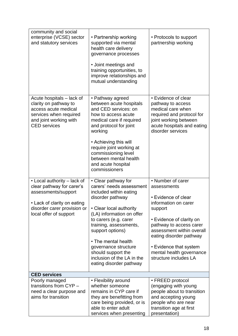| community and social<br>enterprise (VCSE) sector<br>and statutory services                                                                                              | • Partnership working<br>supported via mental<br>health care delivery<br>governance processes<br>• Joint meetings and<br>training opportunities, to<br>improve relationships and<br>mutual understanding                                                                                                                                                   | • Protocols to support<br>partnership working                                                                                                                                                                                                                                            |
|-------------------------------------------------------------------------------------------------------------------------------------------------------------------------|------------------------------------------------------------------------------------------------------------------------------------------------------------------------------------------------------------------------------------------------------------------------------------------------------------------------------------------------------------|------------------------------------------------------------------------------------------------------------------------------------------------------------------------------------------------------------------------------------------------------------------------------------------|
| Acute hospitals – lack of<br>clarity on pathway to<br>access acute medical<br>services when required<br>and joint working with<br><b>CED</b> services                   | • Pathway agreed<br>between acute hospitals<br>and CED services: on<br>how to access acute<br>medical care if required<br>and protocol for joint<br>working<br>• Achieving this will<br>require joint working at<br>commissioning level<br>between mental health<br>and acute hospital<br>commissioners                                                    | • Evidence of clear<br>pathway to access<br>medical care when<br>required and protocol for<br>joint working between<br>acute hospitals and eating<br>disorder services                                                                                                                   |
| • Local authority – lack of<br>clear pathway for carer's<br>assessments/support<br>• Lack of clarity on eating<br>disorder carer provision or<br>local offer of support | • Clear pathway for<br>carers' needs assessment<br>included within eating<br>disorder pathway<br>• Clear local authority<br>(LA) information on offer<br>to carers (e.g. carer<br>training, assessments,<br>support options)<br>• The mental health<br>governance structure<br>should support the<br>inclusion of the LA in the<br>eating disorder pathway | • Number of carer<br>assessments<br>• Evidence of clear<br>information on carer<br>support<br>• Evidence of clarity on<br>pathway to access carer<br>assessment within overall<br>eating disorder pathway<br>• Evidence that system<br>mental health governance<br>structure includes LA |
| <b>CED services</b>                                                                                                                                                     |                                                                                                                                                                                                                                                                                                                                                            |                                                                                                                                                                                                                                                                                          |
| Poorly managed<br>transitions from CYP -<br>need a clear purpose and<br>aims for transition                                                                             | • Flexibility around<br>whether someone<br>remains in CYP care if<br>they are benefitting from<br>care being provided, or is<br>able to enter adult<br>services when presenting                                                                                                                                                                            | • FREED protocol<br>(engaging with young<br>people about to transition<br>and accepting young<br>people who are near<br>transition age at first<br>presentation)                                                                                                                         |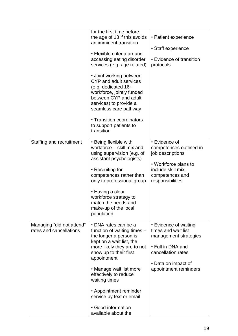|                                                      | for the first time before<br>the age of 18 if this avoids<br>an imminent transition<br>• Flexible criteria around<br>accessing eating disorder<br>services (e.g. age related)<br>• Joint working between<br>CYP and adult services<br>(e.g. dedicated 16+<br>workforce, jointly funded<br>between CYP and adult<br>services) to provide a<br>seamless care pathway<br>• Transition coordinators<br>to support patients to<br>transition | • Patient experience<br>• Staff experience<br>• Evidence of transition<br>protocols                                                                              |
|------------------------------------------------------|-----------------------------------------------------------------------------------------------------------------------------------------------------------------------------------------------------------------------------------------------------------------------------------------------------------------------------------------------------------------------------------------------------------------------------------------|------------------------------------------------------------------------------------------------------------------------------------------------------------------|
| Staffing and recruitment                             | • Being flexible with<br>workforce – skill mix and<br>using supervision (e.g. of<br>assistant psychologists)<br>• Recruiting for<br>competences rather than<br>only to professional group<br>• Having a clear<br>workforce strategy to<br>match the needs and<br>make-up of the local<br>population                                                                                                                                     | • Evidence of<br>competences outlined in<br>job descriptions<br>• Workforce plans to<br>include skill mix,<br>competences and<br>responsibilities                |
| Managing "did not attend"<br>rates and cancellations | • DNA rates can be a<br>function of waiting times -<br>the longer a person is<br>kept on a wait list, the<br>more likely they are to not<br>show up to their first<br>appointment<br>• Manage wait list more<br>effectively to reduce<br>waiting times<br>• Appointment reminder<br>service by text or email<br>• Good information<br>available about the                                                                               | • Evidence of waiting<br>times and wait list<br>management strategies<br>• Fall in DNA and<br>cancellation rates<br>• Data on impact of<br>appointment reminders |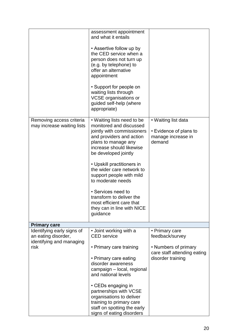|                                                                               | assessment appointment<br>and what it entails<br>• Assertive follow up by<br>the CED service when a<br>person does not turn up<br>(e.g. by telephone) to<br>offer an alternative<br>appointment<br>• Support for people on<br>waiting lists through |                                                                               |
|-------------------------------------------------------------------------------|-----------------------------------------------------------------------------------------------------------------------------------------------------------------------------------------------------------------------------------------------------|-------------------------------------------------------------------------------|
|                                                                               | <b>VCSE</b> organisations or<br>guided self-help (where<br>appropriate)                                                                                                                                                                             |                                                                               |
| Removing access criteria<br>may increase waiting lists                        | • Waiting lists need to be<br>monitored and discussed<br>jointly with commissioners<br>and providers and action<br>plans to manage any<br>increase should likewise<br>be developed jointly                                                          | • Waiting list data<br>• Evidence of plans to<br>manage increase in<br>demand |
|                                                                               | • Upskill practitioners in<br>the wider care network to<br>support people with mild<br>to moderate needs                                                                                                                                            |                                                                               |
|                                                                               | • Services need to<br>transform to deliver the<br>most efficient care that<br>they can in line with NICE<br>guidance                                                                                                                                |                                                                               |
| <b>Primary care</b>                                                           |                                                                                                                                                                                                                                                     |                                                                               |
| Identifying early signs of<br>an eating disorder,<br>identifying and managing | • Joint working with a<br><b>CED</b> service                                                                                                                                                                                                        | • Primary care<br>feedback/survey                                             |
| risk                                                                          | • Primary care training<br>• Primary care eating<br>disorder awareness<br>campaign - local, regional<br>and national levels                                                                                                                         | • Numbers of primary<br>care staff attending eating<br>disorder training      |
|                                                                               | $\cdot$ CEDs engaging in<br>partnerships with VCSE<br>organisations to deliver<br>training to primary care<br>staff on spotting the early<br>signs of eating disorders                                                                              |                                                                               |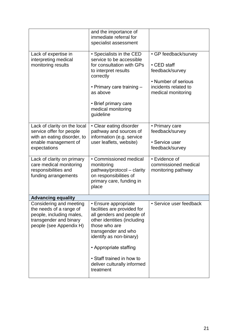|                                                                                                                                     | and the importance of<br>immediate referral for<br>specialist assessment                                                                                                                                                                                                              |                                                                                                                             |
|-------------------------------------------------------------------------------------------------------------------------------------|---------------------------------------------------------------------------------------------------------------------------------------------------------------------------------------------------------------------------------------------------------------------------------------|-----------------------------------------------------------------------------------------------------------------------------|
| Lack of expertise in<br>interpreting medical<br>monitoring results                                                                  | • Specialists in the CED<br>service to be accessible<br>for consultation with GPs<br>to interpret results<br>correctly<br>• Primary care training -<br>as above<br>• Brief primary care<br>medical monitoring<br>guideline                                                            | • GP feedback/survey<br>• CED staff<br>feedback/survey<br>• Number of serious<br>incidents related to<br>medical monitoring |
| Lack of clarity on the local<br>service offer for people<br>with an eating disorder, to<br>enable management of<br>expectations     | • Clear eating disorder<br>pathway and sources of<br>information (e.g. service<br>user leaflets, website)                                                                                                                                                                             | • Primary care<br>feedback/survey<br>• Service user<br>feedback/survey                                                      |
| Lack of clarity on primary<br>care medical monitoring<br>responsibilities and<br>funding arrangements                               | • Commissioned medical<br>monitoring<br>pathway/protocol - clarity<br>on responsibilities of<br>primary care, funding in<br>place                                                                                                                                                     | • Evidence of<br>commissioned medical<br>monitoring pathway                                                                 |
| <b>Advancing equality</b>                                                                                                           |                                                                                                                                                                                                                                                                                       |                                                                                                                             |
| Considering and meeting<br>the needs of a range of<br>people, including males,<br>transgender and binary<br>people (see Appendix H) | • Ensure appropriate<br>facilities are provided for<br>all genders and people of<br>other identities (including<br>those who are<br>transgender and who<br>identify as non-binary)<br>• Appropriate staffing<br>• Staff trained in how to<br>deliver culturally informed<br>treatment | • Service user feedback                                                                                                     |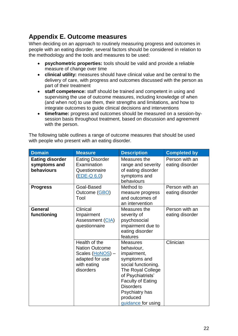# <span id="page-21-0"></span>**Appendix E. Outcome measures**

When deciding on an approach to routinely measuring progress and outcomes in people with an eating disorder, several factors should be considered in relation to the methodology and the tools and measures to be used:

- **psychometric properties:** tools should be valid and provide a reliable measure of change over time
- **clinical utility:** measures should have clinical value and be central to the delivery of care, with progress and outcomes discussed with the person as part of their treatment
- **staff competence:** staff should be trained and competent in using and supervising the use of outcome measures, including knowledge of when (and when not) to use them, their strengths and limitations, and how to integrate outcomes to guide clinical decisions and interventions
- **timeframe:** progress and outcomes should be measured on a session-bysession basis throughout treatment, based on discussion and agreement with the person.

The following table outlines a range of outcome measures that should be used with people who present with an eating disorder.

| <b>Domain</b>                                        | <b>Measure</b>                                                                                            | <b>Description</b>                                                                                                                                                                                                                | <b>Completed by</b>               |
|------------------------------------------------------|-----------------------------------------------------------------------------------------------------------|-----------------------------------------------------------------------------------------------------------------------------------------------------------------------------------------------------------------------------------|-----------------------------------|
| <b>Eating disorder</b><br>symptoms and<br>behaviours | <b>Eating Disorder</b><br>Examination<br>Questionnaire<br>$(EDE-Q 6.0)$                                   | Measures the<br>range and severity<br>of eating disorder<br>symptoms and<br>behaviours                                                                                                                                            | Person with an<br>eating disorder |
| <b>Progress</b>                                      | Goal-Based<br>Outcome (GBO)<br>Tool                                                                       | Method to<br>measure progress<br>and outcomes of<br>an intervention                                                                                                                                                               | Person with an<br>eating disorder |
| <b>General</b><br>functioning                        | Clinical<br>Impairment<br>Assessment (CIA)<br>questionnaire                                               | Measures the<br>severity of<br>psychosocial<br>impairment due to<br>eating disorder<br>features                                                                                                                                   | Person with an<br>eating disorder |
|                                                      | Health of the<br><b>Nation Outcome</b><br>Scales (HoNOS) -<br>adapted for use<br>with eating<br>disorders | <b>Measures</b><br>behaviour,<br>impairment,<br>symptoms and<br>social functioning.<br>The Royal College<br>of Psychiatrists'<br><b>Faculty of Eating</b><br><b>Disorders</b><br>Psychiatry has<br>produced<br>guidance for using | Clinician                         |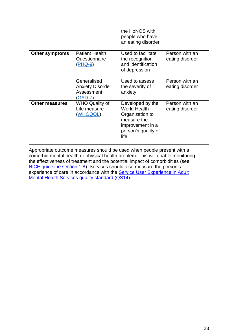|                       |                                                                   | the HoNOS with<br>people who have<br>an eating disorder                                                                      |                                   |
|-----------------------|-------------------------------------------------------------------|------------------------------------------------------------------------------------------------------------------------------|-----------------------------------|
| <b>Other symptoms</b> | <b>Patient Health</b><br>Questionnaire<br>$(PHQ-9)$               | Used to facilitate<br>the recognition<br>and identification<br>of depression                                                 | Person with an<br>eating disorder |
|                       | Generalised<br><b>Anxiety Disorder</b><br>Assessment<br>$(GAD-7)$ | Used to assess<br>the severity of<br>anxiety                                                                                 | Person with an<br>eating disorder |
| <b>Other measures</b> | <b>WHO Quality of</b><br>Life measure<br>(WHOQOL)                 | Developed by the<br><b>World Health</b><br>Organization to<br>measure the<br>improvement in a<br>person's quality of<br>life | Person with an<br>eating disorder |

Appropriate outcome measures should be used when people present with a comorbid mental health or physical health problem. This will enable monitoring the effectiveness of treatment and the potential impact of comorbidities (see [NICE guideline section 1.8\)](https://www.nice.org.uk/guidance/ng69/chapter/Recommendations#physical-and-mental-health-comorbidities). Services should also measure the person's experience of care in accordance with the **Service User Experience in Adult** [Mental Health Services quality standard \(QS14\).](https://www.nice.org.uk/guidance/qs14)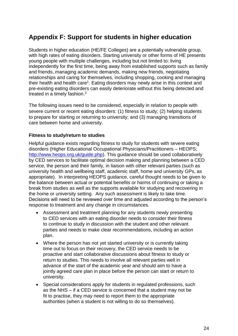# <span id="page-23-0"></span>**Appendix F: Support for students in higher education**

Students in higher education (HE/FE Colleges) are a potentially vulnerable group, with high rates of eating disorders. Starting university or other forms of HE presents young people with multiple challenges, including but not limited to: living independently for the first time, being away from established supports such as family and friends, managing academic demands, making new friends, negotiating relationships and caring for themselves, including shopping, cooking and managing their health and health care<sup>1</sup>. Eating disorders may newly arise in this context and pre-existing eating disorders can easily deteriorate without this being detected and treated in a timely fashion.<sup>2</sup>

The following issues need to be considered, especially in relation to people with severe current or recent eating disorders: (1) fitness to study; (2) helping students to prepare for starting or returning to university; and (3) managing transitions of care between home and university.

#### **Fitness to study/return to studies**

Helpful guidance exists regarding fitness to study for students with severe eating disorders (Higher Educational Occupational Physicians/Practitioners – HEOPS; [http://www.heops.org.uk/guide.php\)](http://www.heops.org.uk/guide.php). This guidance should be used collaboratively by CED services to facilitate optimal decision making and planning between a CED service, the person and their family, in liaison with other relevant parties (such as university health and wellbeing staff, academic staff, home and university GPs, as appropriate). In interpreting HEOPS guidance, careful thought needs to be given to the balance between actual or potential benefits or harms of continuing or taking a break from studies as well as the supports available for studying and recovering in the home or university setting. Any such assessment is likely to take time. Decisions will need to be reviewed over time and adjusted according to the person's response to treatment and any change in circumstances.

- Assessment and treatment planning for any students newly presenting to CED services with an eating disorder needs to consider their fitness to continue to study in discussion with the student and other relevant parties and needs to make clear recommendations, including an action plan.
- Where the person has not yet started university or is currently taking time out to focus on their recovery, the CED service needs to be proactive and start collaborative discussions about fitness to study or return to studies. This needs to involve all relevant parties well in advance of the start of the academic year and should aim to have a jointly agreed care plan in place before the person can start or return to university.
- Special considerations apply for students in regulated professions, such as the NHS – if a CED service is concerned that a student may not be fit to practise, they may need to report them to the appropriate authorities (when a student is not willing to do so themselves).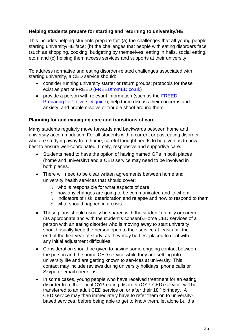#### **Helping students prepare for starting and returning to university/HE**

This includes helping students prepare for: (a) the challenges that all young people starting university/HE face; (b) the challenges that people with eating disorders face (such as shopping, cooking, budgeting by themselves, eating in halls, social eating, etc.); and (c) helping them access services and supports at their university.

To address normative and eating disorder-related challenges associated with starting university, a CED service should:

- consider running university starter or return groups; protocols for these exist as part of FREED [\(FREEDfromED.co.uk\)](https://freedfromed.co.uk/)
- provide a person with relevant information (such as the FREED [Preparing for](https://freedfromed.co.uk/img/guides/Preparing_For_University-FREED.pdf) [University guide\)](https://freedfromed.co.uk/img/guides/Preparing_For_University-FREED.pdf), help them discuss their concerns and anxiety, and problem-solve or trouble shoot around them.

#### **Planning for and managing care and transitions of care**

Many students regularly move forwards and backwards between home and university accommodation. For all students with a current or past eating disorder who are studying away from home, careful thought needs to be given as to how best to ensure well-coordinated, timely, responsive and supportive care.

- Students need to have the option of having named GPs in both places (home and university) and a CED service may need to be involved in both places.
- There will need to be clear written agreements between home and university health services that should cover:
	- o who is responsible for what aspects of care
	- o how any changes are going to be communicated and to whom
	- o indicators of risk, deterioration and relapse and how to respond to them
	- o what should happen in a crisis.
- These plans should usually be shared with the student's family or carers (as appropriate and with the student's consent).Home CED services of a person with an eating disorder who is moving away to start university should usually keep the person open to their service at least until the end of the first year of study, as they may be best placed to deal with any initial adjustment difficulties.
- Consideration should be given to having some ongoing contact between the person and the home CED service while they are settling into university life and are getting known to services at university. This contact may include reviews during university holidays, phone calls or Skype or email check-ins.
- In some cases, young people who have received treatment for an eating disorder from their local CYP-eating disorder (CYP-CED) service, will be transferred to an adult CED service on or after their 18<sup>th</sup> birthday. A CED service may then immediately have to refer them on to universitybased services, before being able to get to know them, let alone build a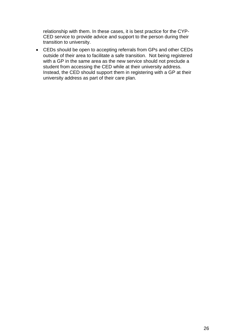relationship with them. In these cases, it is best practice for the CYP-CED service to provide advice and support to the person during their transition to university.

• CEDs should be open to accepting referrals from GPs and other CEDs outside of their area to facilitate a safe transition. Not being registered with a GP in the same area as the new service should not preclude a student from accessing the CED while at their university address. Instead, the CED should support them in registering with a GP at their university address as part of their care plan.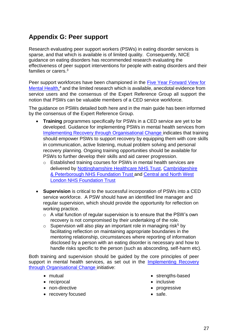# <span id="page-26-0"></span>**Appendix G: Peer support**

Research evaluating peer support workers (PSWs) in eating disorder services is sparse, and that which is available is of limited quality. Consequently, NICE guidance on eating disorders has recommended research evaluating the effectiveness of peer support interventions for people with eating disorders and their families or carers.<sup>3</sup>

Peer support workforces have been championed in the [Five Year Forward View for](https://www.england.nhs.uk/wp-content/uploads/2016/02/Mental-Health-Taskforce-FYFV-final.pdf)  [Mental](https://www.england.nhs.uk/wp-content/uploads/2016/02/Mental-Health-Taskforce-FYFV-final.pdf) [Health,](https://www.england.nhs.uk/wp-content/uploads/2016/02/Mental-Health-Taskforce-FYFV-final.pdf)<sup>4</sup> and the limited research which is available, anecdotal evidence from service users and the consensus of the Expert Reference Group all support the notion that PSWs can be valuable members of a CED service workforce.

The guidance on PSWs detailed both here and in the main guide has been informed by the consensus of the Expert Reference Group.

- **Training** programmes specifically for PSWs in a CED service are yet to be developed. Guidance for implementing PSWs in mental health services from [Implementing Recovery](https://www.centreformentalhealth.org.uk/sites/default/files/2018-09/ImROC_briefing7_Peer_Support_Workers_implementation.pdf) [through Organisational Change i](https://www.centreformentalhealth.org.uk/sites/default/files/2018-09/ImROC_briefing7_Peer_Support_Workers_implementation.pdf)ndicates that training should empower PSWs to support recovery by equipping them with core skills in communication, active listening, mutual problem solving and personal recovery planning. Ongoing training opportunities should be available for PSWs to further develop their skills and aid career progression.
	- o Established training courses for PSWs in mental health services are delivered by [Nottinghamshire Healthcare NHS Trust,](https://www.nottinghamshirehealthcare.nhs.uk/peer-support-training) [Cambridgeshire](http://www.cpft.nhs.uk/patients/peer-support.htm)  [& Peterborough NHS](http://www.cpft.nhs.uk/patients/peer-support.htm) [Foundation Trust a](http://www.cpft.nhs.uk/patients/peer-support.htm)nd [Central and North West](https://www.cnwl.nhs.uk/news/peer-support-as-a-bridge-to-recovery)  [London NHS Foundation Trust](https://www.cnwl.nhs.uk/news/peer-support-as-a-bridge-to-recovery)
- **Supervision** is critical to the successful incorporation of PSWs into a CED service workforce. A PSW should have an identified line manager and regular supervision, which should provide the opportunity for reflection on working practice.
	- o A vital function of regular supervision is to ensure that the PSW's own recovery is not compromised by their undertaking of the role.
	- $\circ$  Supervision will also play an important role in managing risk<sup>5</sup> by facilitating reflection on maintaining appropriate boundaries in the mentoring relationship, circumstances where reporting of information disclosed by a person with an eating disorder is necessary and how to handle risks specific to the person (such as absconding, self-harm etc).

Both training and supervision should be guided by the core principles of peer support in mental health services, as set out in the Implementing Recovery [through Organisational](http://imroc.org/wp-content/uploads/2013/06/5ImROC-Peer-Support-Workers-Theory-and-Practice.pdf) [Change i](http://imroc.org/wp-content/uploads/2013/06/5ImROC-Peer-Support-Workers-Theory-and-Practice.pdf)nitiative:

- 
- reciprocal inclusive
- non-directive **•** progressive
- recovery focused safe.
- mutual strengths-based
	-
	-
	-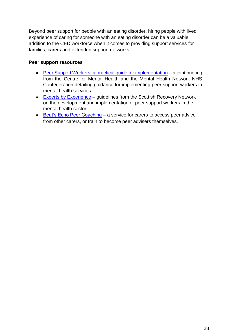Beyond peer support for people with an eating disorder, hiring people with lived experience of caring for someone with an eating disorder can be a valuable addition to the CED workforce when it comes to providing support services for families, carers and extended support networks.

#### **Peer support resources**

- [Peer Support Workers: a practical guide for implementation](https://www.centreformentalhealth.org.uk/sites/default/files/2018-09/ImROC_briefing7_Peer_Support_Workers_implementation.pdf) a joint briefing from the Centre for Mental Health and the Mental Health Network NHS Confederation detailing guidance for implementing peer support workers in mental health services.
- [Experts by Experience](https://recoverydevon.co.uk/wp-content/uploads/2012/02/Guidelines_on_developing_peer_support_-_Scotland.pdf) guidelines from the Scottish Recovery Network on the development and implementation of peer support workers in the mental health sector.
- [Beat's Echo Peer Coaching](https://www.beateatingdisorders.org.uk/echo) a service for carers to access peer advice from other carers, or train to become peer advisers themselves.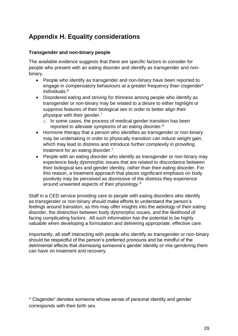# <span id="page-28-0"></span>**Appendix H. Equality considerations**

#### **Transgender and non-binary people**

The available evidence suggests that there are specific factors to consider for people who present with an eating disorder and identify as transgender and nonbinary.

- People who identify as transgender and non-binary have been reported to engage in compensatory behaviours at a greater frequency than cisgender\* individuals.<sup>6</sup>
- Disordered eating and striving for thinness among people who identify as transgender or non-binary may be related to a desire to either highlight or suppress features of their biological sex in order to better align their physique with their gender.<sup>7</sup>
	- o In some cases, the process of medical gender transition has been reported to alleviate symptoms of an eating disorder.<sup>8</sup>
- Hormone therapy that a person who identifies as transgender or non-binary may be undertaking in order to physically transition can induce weight gain, which may lead to distress and introduce further complexity in providing treatment for an eating disorder.<sup>7</sup>
- People with an eating disorder who identify as transgender or non-binary may experience body dysmorphic issues that are related to discordance between their biological sex and gender identity, rather than their eating disorder. For this reason, a treatment approach that places significant emphasis on body positivity may be perceived as dismissive of the distress they experience around unwanted aspects of their physiology.<sup>9</sup>

Staff in a CED service providing care to people with eating disorders who identify as transgender or non-binary should make efforts to understand the person's feelings around transition, as this may offer insights into the aetiology of their eating disorder, the distinction between body dysmorphic issues, and the likelihood of facing complicating factors. All such information has the potential to be highly valuable when developing a formulation and delivering appropriate, effective care.

Importantly, all staff interacting with people who identify as transgender or non-binary should be respectful of the person's preferred pronouns and be mindful of the detrimental effects that dismissing someone's gender identity or mis-gendering them can have on treatment and recovery.

\*'Cisgender' denotes someone whose sense of personal identity and gender corresponds with their birth sex.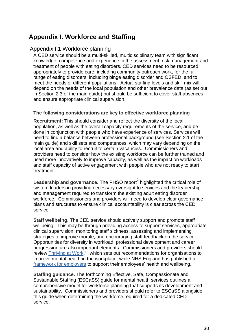# <span id="page-29-0"></span>**Appendix I. Workforce and Staffing**

#### Appendix I.1 Workforce planning

A CED service should be a multi-skilled, multidisciplinary team with significant knowledge, competence and experience in the assessment, risk management and treatment of people with eating disorders. CED services need to be resourced appropriately to provide care, including community outreach work, for the full range of eating disorders, including binge eating disorder and OSFED, and to meet the needs of different populations. Actual staffing levels and skill mix will depend on the needs of the local population and other prevalence data (as set out in Section 2.3 of the main guide) but should be sufficient to cover staff absences and ensure appropriate clinical supervision.

#### **The following considerations are key to effective workforce planning**

**Recruitment:** This should consider and reflect the diversity of the local population, as well as the overall capacity requirements of the service, and be done in conjunction with people who have experience of services. Services will need to find a balance between professional background (see Section 2.1 of the main guide) and skill sets and competences, which may vary depending on the local area and ability to recruit to certain vacancies. Commissioners and providers need to consider how the existing workforce can be further trained and used more innovatively to improve capacity, as well as the impact on workloads and staff capacity of active engagement with people who are not ready to start treatment.

Leadership and governance. The PHSO report<sup>2</sup> highlighted the critical role of system leaders in providing necessary oversight to services and the leadership and management required to transform the existing adult eating disorder workforce. Commissioners and providers will need to develop clear governance plans and structures to ensure clinical accountability is clear across the CED service.

**Staff wellbeing.** The CED service should actively support and promote staff wellbeing. This may be through providing access to support services, appropriate clinical supervision, monitoring staff sickness, assessing and implementing strategies to improve morale, and encouraging staff feedback on the service. Opportunities for diversity in workload, professional development and career progression are also important elements. Commissioners and providers should review **Thriving at Work,<sup>10</sup> which sets out recommendations for organisations to** improve mental health in the workplace, while NHS England has published a [framework for employers](https://www.nhsemployers.org/-/media/Employers/Publications/Health-and-wellbeing/NHS-Workforce-HWB-Framework_updated-July-18.pdf) to support their employees' health and wellbeing.

**Staffing guidance.** The forthcoming Effective, Safe, Compassionate and Sustainable Staffing (ESCaSS) guide for mental health services outlines a comprehensive model for workforce planning that supports its development and sustainability. Commissioners and providers should refer to ESCaSS alongside this guide when determining the workforce required for a dedicated CED service.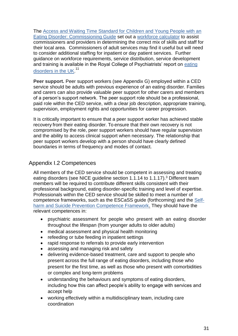The [Access and Waiting Time Standard for](https://www.england.nhs.uk/wp-content/uploads/2015/07/cyp-eating-disorders-access-waiting-time-standard-comm-guid.pdf) [Children and Young People with an](https://www.england.nhs.uk/wp-content/uploads/2015/07/cyp-eating-disorders-access-waiting-time-standard-comm-guid.pdf)  [Eating](https://www.england.nhs.uk/wp-content/uploads/2015/07/cyp-eating-disorders-access-waiting-time-standard-comm-guid.pdf) [Disorder: Commissioning Guide](https://www.england.nhs.uk/wp-content/uploads/2015/07/cyp-eating-disorders-access-waiting-time-standard-comm-guid.pdf) set out a [workforce calculator](http://www.england.nhs.uk/wp-content/uploads/2015/07/edw-wrkfrce-mix-cost-calc.xlsx) to assist commissioners and providers in determining the correct mix of skills and staff for their local area. Commissioners of adult services may find it useful but will need to consider additional staffing for inpatient or day patient services. Further guidance on workforce requirements, service distribution, service development and training is available in the Royal College of Psychiatrists' report on [eating](https://www.rcpsych.ac.uk/docs/default-source/improving-care/better-mh-policy/college-reports/college-report-cr170.pdf?sfvrsn=974722c1_2) [disorders in the UK.](https://www.rcpsych.ac.uk/docs/default-source/improving-care/better-mh-policy/college-reports/college-report-cr170.pdf?sfvrsn=974722c1_2)<sup>11</sup>

**Peer support.** Peer support workers (see Appendix G) employed within a CED service should be adults with previous experience of an eating disorder. Families and carers can also provide valuable peer support for other carers and members of a person's support network. The peer support role should be a professional, paid role within the CED service, with a clear job description, appropriate training, supervision, employment rights and opportunities for career progression.

It is critically important to ensure that a peer support worker has achieved stable recovery from their eating disorder. To ensure that their own recovery is not compromised by the role, peer support workers should have regular supervision and the ability to access clinical support when necessary. The relationship that peer support workers develop with a person should have clearly defined boundaries in terms of frequency and modes of contact.

## Appendix I.2 Competences

All members of the CED service should be competent in assessing and treating eating disorders (see NICE guideline section 1.1.14 to 1.1.17).<sup>3</sup> Different team members will be required to contribute different skills consistent with their professional background, eating disorder-specific training and level of expertise. Professionals within the CED service should be skilled to meet a number of competence frameworks, such as the ESCaSS guide (forthcoming) and the [Self](https://www.ucl.ac.uk/pals/research/clinical-educational-and-health-psychology/research-groups/core/competence-frameworks/self)[harm](https://www.ucl.ac.uk/pals/research/clinical-educational-and-health-psychology/research-groups/core/competence-frameworks/self) [and Suicide Prevention Competence Framework.](https://www.ucl.ac.uk/pals/research/clinical-educational-and-health-psychology/research-groups/core/competence-frameworks/self) They should have the relevant competences in:

- psychiatric assessment for people who present with an eating disorder throughout the lifespan (from younger adults to older adults)
- medical assessment and physical health monitoring
- refeeding or tube feeding in inpatient settings
- rapid response to referrals to provide early intervention
- assessing and managing risk and safety
- delivering evidence-based treatment, care and support to people who present across the full range of eating disorders, including those who present for the first time, as well as those who present with comorbidities or complex and long-term problems
- understanding the behaviours and symptoms of eating disorders, including how this can affect people's ability to engage with services and accept help
- working effectively within a multidisciplinary team, including care coordination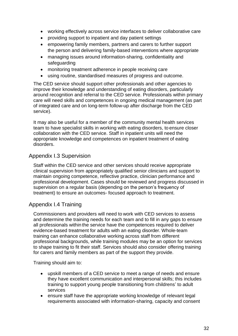- working effectively across service interfaces to deliver collaborative care
- providing support to inpatient and day patient settings
- empowering family members, partners and carers to further support the person and delivering family-based interventions where appropriate
- managing issues around information-sharing, confidentiality and safeguarding
- monitoring treatment adherence in people receiving care
- using routine, standardised measures of progress and outcome.

The CED service should support other professionals and other agencies to improve their knowledge and understanding of eating disorders, particularly around recognition and referral to the CED service. Professionals within primary care will need skills and competences in ongoing medical management (as part of integrated care and on long-term follow-up after discharge from the CED service).

It may also be useful for a member of the community mental health services team to have specialist skills in working with eating disorders, to ensure closer collaboration with the CED service. Staff in inpatient units will need the appropriate knowledge and competences on inpatient treatment of eating disorders.

## Appendix I.3 Supervision

Staff within the CED service and other services should receive appropriate clinical supervision from appropriately qualified senior clinicians and support to maintain ongoing competence, reflective practice, clinician performance and professional development. Cases should be reviewed and progress discussed in supervision on a regular basis (depending on the person's frequency of treatment) to ensure an outcomes- focused approach to treatment.

## Appendix I.4 Training

Commissioners and providers will need to work with CED services to assess and determine the training needs for each team and to fill in any gaps to ensure all professionals within the service have the competences required to deliver evidence-based treatment for adults with an eating disorder. Whole-team training can enhance collaborative working across staff from different professional backgrounds, while training modules may be an option for services to shape training to fit their staff. Services should also consider offering training for carers and family members as part of the support they provide.

Training should aim to:

- upskill members of a CED service to meet a range of needs and ensure they have excellent communication and interpersonal skills; this includes training to support young people transitioning from childrens' to adult services
- ensure staff have the appropriate working knowledge of relevant legal requirements associated with information-sharing, capacity and consent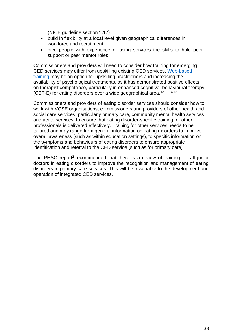(NICE quideline section  $1.12$ )<sup>3</sup>

- build in flexibility at a local level given geographical differences in workforce and recruitment
- give people with experience of using services the skills to hold peer support or peer mentor roles.

Commissioners and providers will need to consider how training for emerging CED services may differ from upskilling existing CED services. [Web-based](https://credo-oxford.com/)  [training](https://credo-oxford.com/) may be an option for upskilling practitioners and increasing the availability of psychological treatments, as it has demonstrated positive effects on therapist competence, particularly in enhanced cognitive–behavioural therapy (CBT-E) for eating disorders over a wide geographical area.12,13,14,15

Commissioners and providers of eating disorder services should consider how to work with VCSE organisations, commissioners and providers of other health and social care services, particularly primary care, community mental health services and acute services, to ensure that eating disorder-specific training for other professionals is delivered effectively. Training for other services needs to be tailored and may range from general information on eating disorders to improve overall awareness (such as within education settings), to specific information on the symptoms and behaviours of eating disorders to ensure appropriate identification and referral to the CED service (such as for primary care).

The PHSO report<sup>2</sup> recommended that there is a review of training for all junior doctors in eating disorders to improve the recognition and management of eating disorders in primary care services. This will be invaluable to the development and operation of integrated CED services.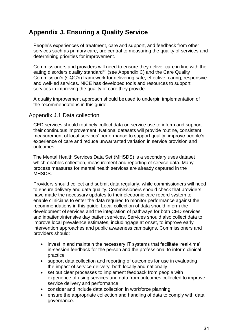# <span id="page-33-0"></span>**Appendix J. Ensuring a Quality Service**

People's experiences of treatment, care and support, and feedback from other services such as primary care, are central to measuring the quality of services and determining priorities for improvement.

Commissioners and providers will need to ensure they deliver care in line with the [eating disorders](https://www.nice.org.uk/guidance/qs175) [quality standard](https://www.nice.org.uk/guidance/qs175)<sup>16</sup> (see Appendix C) and the [Care](https://www.cqc.org.uk/guidance-providers/healthcare/key-lines-enquiry-healthcare-services) Quality [Commission's \(CQC's\) framework f](https://www.cqc.org.uk/guidance-providers/healthcare/key-lines-enquiry-healthcare-services)or delivering safe, effective, caring, responsive and well-led services. NICE has developed [tools and](https://www.nice.org.uk/guidance/ng69/resources) [resources](https://www.nice.org.uk/guidance/ng69/resources) to support services in improving the quality of care they provide.

A [quality improvement approach](https://www.kingsfund.org.uk/topics/quality-improvement) should beused to underpin implementation of the recommendations in this guide.

#### Appendix J.1 Data collection

CED services should routinely collect data on service use to inform and support their continuous improvement. National datasets will provide routine, consistent measurement of local services' performance to support quality, improve people's experience of care and reduce unwarranted variation in service provision and outcomes.

The Mental Health Services Data Set (MHSDS) is a secondary uses dataset which enables collection, measurement and reporting of service data. Many process measures for mental health services are already captured in the MHSDS.

Providers should collect and submit data regularly, while commissioners will need to ensure delivery and data quality. Commissioners should check that providers have made the necessary updates to their electronic care record system to enable clinicians to enter the data required to monitor performance against the recommendations in this guide. Local collection of data should inform the development of services and the integration of pathways for both CED services and inpatient/intensive day patient services. Services should also collect data to improve local prevalence estimates, includingage at onset, to improve early intervention approaches and public awareness campaigns. Commissioners and providers should:

- invest in and maintain the necessary IT systems that facilitate 'real-time' in-session feedback for the person and the professional to inform clinical practice
- support data collection and reporting of outcomes for use in evaluating the impact of service delivery, both locally and nationally
- set out clear processes to implement feedback from people with experience of using services and data from outcomes collected to improve service delivery and performance
- consider and include data collection in workforce planning
- ensure the appropriate collection and handling of data to comply with data governance.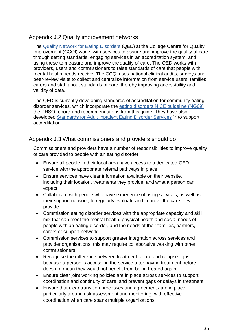## Appendix J.2 Quality improvement networks

The [Quality Network for Eating Disorders](https://www.rcpsych.ac.uk/improving-care/ccqi/quality-networks-accreditation/eating-disorders-qed) (QED) at the College Centre for Quality Improvement (CCQI) works with services to assure and improve the quality of care through setting standards, engaging services in an accreditation system, and using these to measure and improve the quality of care. The QED works with providers, users and commissioners to raise standards of care that people with mental health needs receive. The CCQI uses national clinical audits, surveys and peer-review visits to collect and centralise information from service users, families, carers and staff about standards of care, thereby improving accessibility and validity of data.

The QED is currently developing standards of accreditation for community eating disorder services, which incorporate the [eating disorders](https://www.nice.org.uk/guidance/ng69) NICE quideline (NG69)<sup>3</sup>, the PHSO report<sup>2</sup> and recommendations from this quide. They have also developed [Standards for Adult Inpatient Eating](https://www.rcpsych.ac.uk/docs/default-source/improving-care/ccqi/quality-networks/eating-disorders-qed/2nd-edition-standards-for-adult-inpatient-eating-disorder-services.pdf?sfvrsn=86374031_2) [Disorder Services](https://www.rcpsych.ac.uk/docs/default-source/improving-care/ccqi/quality-networks/eating-disorders-qed/2nd-edition-standards-for-adult-inpatient-eating-disorder-services.pdf?sfvrsn=86374031_2) <sup>17</sup> to support accreditation.

## Appendix J.3 What commissioners and providers should do

Commissioners and providers have a number of responsibilities to improve quality of care provided to people with an eating disorder.

- Ensure all people in their local area have access to a dedicated CED service with the appropriate referral pathways in place
- Ensure services have clear information available on their website, including their location, treatments they provide, and what a person can expect
- Collaborate with people who have experience of using services, as well as their support network, to regularly evaluate and improve the care they provide
- Commission eating disorder services with the appropriate capacity and skill mix that can meet the mental health, physical health and social needs of people with an eating disorder, and the needs of their families, partners, carers or support network
- Commission services to support greater integration across services and provider organisations; this may require collaborative working with other commissioners
- Recognise the difference between treatment failure and relapse just because a person is accessing the service after having treatment before does not mean they would not benefit from being treated again
- Ensure clear joint working policies are in place across services to support coordination and continuity of care, and prevent gaps or delays in treatment
- Ensure that clear transition processes and agreements are in place, particularly around risk assessment and monitoring, with effective coordination when care spans multiple organisations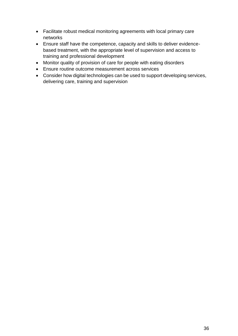- Facilitate robust medical monitoring agreements with local primary care networks
- Ensure staff have the competence, capacity and skills to deliver evidencebased treatment, with the appropriate level of supervision and access to training and professional development
- Monitor quality of provision of care for people with eating disorders
- Ensure routine outcome measurement across services
- Consider how digital technologies can be used to support developing services, delivering care, training and supervision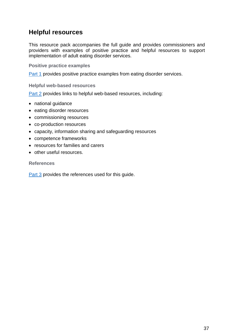# <span id="page-36-0"></span>**Helpful resources**

This resource pack accompanies the full guide and provides commissioners and providers with examples of positive practice and helpful resources to support implementation of adult eating disorder services.

**Positive practice examples**

[Part 1](#page-37-0) provides positive practice examples from eating disorder services.

**Helpful web-based resources**

[Part 2](#page-44-0) provides links to helpful web-based resources, including:

- national guidance
- eating disorder resources
- commissioning resources
- co-production resources
- capacity, information sharing and safeguarding resources
- competence frameworks
- resources for families and carers
- other useful resources.

**References** 

[Part 3](#page-48-0) provides the references used for this guide.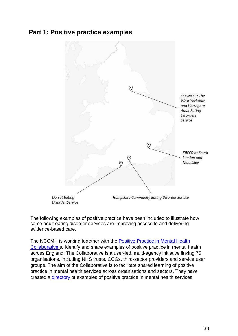# <span id="page-37-0"></span>**Part 1: Positive practice examples**



The following examples of positive practice have been included to illustrate how some adult eating disorder services are improving access to and delivering evidence-based care.

The NCCMH is working together with the Positive Practice in Mental Health [Collaborative](http://positivepracticemh.com/) to identify and share examples of positive practice in mental health across England. The Collaborative is a user-led, multi-agency initiative linking 75 organisations, including NHS trusts, CCGs, third-sector providers and service user groups. The aim of the Collaborative is to facilitate shared learning of positive practice in mental health services across organisations and sectors. They have created a [directory](http://positivepracticemhdirectory.org/) of examples of positive practice in mental health services.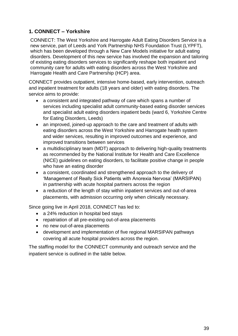# <span id="page-38-0"></span>**1. CONNECT – Yorkshire**

CONNECT: The West Yorkshire and Harrogate Adult Eating Disorders Service is a new service, part of Leeds and York Partnership NHS Foundation Trust (LYPFT), which has been developed through a New Care Models initiative for adult eating disorders. Development of this new service has involved the expansion and tailoring of existing eating disorders services to significantly reshape both inpatient and community care for adults with eating disorders across the West Yorkshire and Harrogate Health and Care Partnership (HCP) area.

CONNECT provides outpatient, intensive home-based, early intervention, outreach and inpatient treatment for adults (18 years and older) with eating disorders. The service aims to provide:

- a consistent and integrated pathway of care which spans a number of services including specialist adult community-based eating disorder services and specialist adult eating disorders inpatient beds (ward 6, Yorkshire Centre for Eating Disorders, Leeds)
- an improved, joined-up approach to the care and treatment of adults with eating disorders across the West Yorkshire and Harrogate health system and wider services, resulting in improved outcomes and experience, and improved transitions between services
- a multidisciplinary team (MDT) approach to delivering high-quality treatments as recommended by the National Institute for Health and Care Excellence (NICE) guidelines on eating disorders, to facilitate positive change in people who have an eating disorder
- a consistent, coordinated and strengthened approach to the delivery of 'Management of Really Sick Patients with Anorexia Nervosa' (MARSIPAN) in partnership with acute hospital partners across the region
- a reduction of the length of stay within inpatient services and out-of-area placements, with admission occurring only when clinically necessary.

Since going live in April 2018, CONNECT has led to:

- a 24% reduction in hospital bed stays
- repatriation of all pre-existing out-of-area placements
- no new out-of-area placements
- development and implementation of five regional MARSIPAN pathways covering all acute hospital providers across the region.

The staffing model for the CONNECT community and outreach service and the inpatient service is outlined in the table below.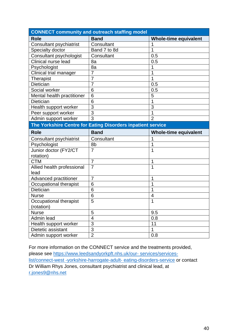| <b>CONNECT community and outreach staffing model</b>        |                          |                              |  |
|-------------------------------------------------------------|--------------------------|------------------------------|--|
| <b>Role</b>                                                 | <b>Band</b>              | <b>Whole-time equivalent</b> |  |
| Consultant psychiatrist                                     | Consultant               | 1                            |  |
| Specialty doctor                                            | Band 7 to 8d             | 1                            |  |
| Consultant psychologist                                     | Consultant               | 0.5                          |  |
| Clinical nurse lead                                         | 8a                       | 0.5                          |  |
| Psychologist                                                | 8a                       | 1                            |  |
| Clinical trial manager                                      | $\overline{7}$           | 1                            |  |
| <b>Therapist</b>                                            | $\overline{7}$           | 1                            |  |
| Dietician                                                   | $\overline{7}$           | 0.5                          |  |
| Social worker                                               | 6                        | 0.5                          |  |
| Mental health practitioner                                  | 6                        | 5                            |  |
| Dietician                                                   | 6                        | 1                            |  |
| Health support worker                                       | 3                        | 3                            |  |
| Peer support worker                                         | 3                        | 1                            |  |
| Admin support worker                                        | $\overline{3}$           | $\overline{2}$               |  |
| The Yorkshire Centre for Eating Disorders inpatient service |                          |                              |  |
| <b>Role</b>                                                 | <b>Band</b>              | <b>Whole-time equivalent</b> |  |
| Consultant psychiatrist                                     | Consultant               | 1                            |  |
| Psychologist                                                | 8b                       | 1                            |  |
| Junior doctor (FY2/CT                                       | $\overline{7}$           | 1                            |  |
| rotation)                                                   |                          |                              |  |
| <b>CTM</b>                                                  | $\overline{7}$           | 1                            |  |
| Allied health professional                                  | $\overline{7}$           | 1                            |  |
| lead                                                        |                          |                              |  |
| <b>Advanced practitioner</b>                                | $\overline{7}$           | 1                            |  |
| Occupational therapist                                      | 6                        | 1                            |  |
| <b>Dietician</b>                                            | 6                        | 1                            |  |
| <b>Nurse</b>                                                | 6                        | 4                            |  |
| Occupational therapist                                      | 5                        | 1                            |  |
| (rotation)                                                  |                          |                              |  |
| <b>Nurse</b>                                                | 5                        | 9.5                          |  |
| Admin lead                                                  | $\overline{\mathcal{A}}$ | 0.8                          |  |
| Health support worker                                       | $\overline{3}$           | 11                           |  |
| Dietetic assistant                                          | $\overline{3}$           | $\overline{1}$               |  |
| Admin support worker                                        | $\overline{2}$           | 0.8                          |  |

For more information on the CONNECT service and the treatments provided, please see [https://www.leedsandyorkpft.nhs.uk/our-](https://www.leedsandyorkpft.nhs.uk/our-services/services-list/connect-west-yorkshire-harrogate-adult-eating-disorders-service) services/services[list/connect-west -yorkshire-h](https://www.leedsandyorkpft.nhs.uk/our-services/services-list/connect-west-yorkshire-harrogate-adult-eating-disorders-service)arrogate-adult- [eating-disorders-service](https://www.leedsandyorkpft.nhs.uk/our-services/services-list/connect-west-yorkshire-harrogate-adult-eating-disorders-service) or contact Dr William Rhys Jones, consultant psychiatrist and clinical lead, at [r.jones9@nhs.net](mailto:r.jones9@nhs.net)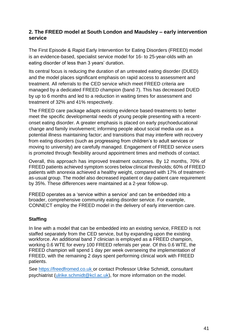## <span id="page-40-0"></span>**2. The FREED model at South London and Maudsley – early intervention service**

The First Episode & Rapid Early Intervention for Eating Disorders (FREED) model is an evidence-based, specialist service model for 16- to 25-year-olds with an eating disorder of less than 3 years' duration.

Its central focus is reducing the duration of an untreated eating disorder (DUED) and the model places significant emphasis on rapid access to assessment and treatment. All referrals to the CED service which meet FREED criteria are managed by a dedicated FREED champion (band 7). This has decreased DUED by up to 6 months and led to a reduction in waiting times for assessment and treatment of 32% and 41% respectively.

The FREED care package adapts existing evidence based-treatments to better meet the specific developmental needs of young people presenting with a recentonset eating disorder. A greater emphasis is placed on early psychoeducational change and family involvement; informing people about social media use as a potential illness maintaining factor; and transitions that may interfere with recovery from eating disorders (such as progressing from children's to adult services or moving to university) are carefully managed. Engagement of FREED service users is promoted through flexibility around appointment times and methods of contact.

Overall, this approach has improved treatment outcomes. By 12 months, 70% of FREED patients achieved symptom scores below clinical thresholds; 60% of FREED patients with anorexia achieved a healthy weight, compared with 17% of treatmentas-usual group. The model also decreased inpatient or day-patient care requirement by 35%. These differences were maintained at a 2-year follow-up.

FREED operates as a 'service within a service' and can be embedded into a broader, comprehensive community eating disorder service. For example, CONNECT employ the FREED model in the delivery of early intervention care.

#### **Staffing**

In line with a model that can be embedded into an existing service, FREED is not staffed separately from the CED service, but by expanding upon the existing workforce. An additional band 7 clinician is employed as a FREED champion. working 0.6 WTE for every 100 FREED referrals per year. Of this 0.6 WTE, the FREED champion will spend 1 day per week overseeing the implementation of FREED, with the remaining 2 days spent performing clinical work with FREED patients.

See [https://freedfromed.co.uk](https://freedfromed.co.uk/) or contact Professor Ulrike Schmidt, consultant psychiatrist [\(ulrike.schmidt@kcl.ac.uk\)](mailto:ulrike.schmidt@kcl.ac.uk), for more information on the model.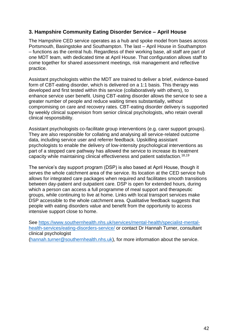## <span id="page-41-0"></span>**3. Hampshire Community Eating Disorder Service – April House**

The Hampshire CED service operates as a hub and spoke model from bases across Portsmouth, Basingstoke and Southampton. The last – April House in Southampton – functions as the central hub. Regardless of their working base, all staff are part of one MDT team, with dedicated time at April House. That configuration allows staff to come together for shared assessment meetings, risk management and reflective practice.

Assistant psychologists within the MDT are trained to deliver a brief, evidence-based form of CBT-eating disorder, which is delivered on a 1:1 basis. This therapy was developed and first tested within this service (collaboratively with others), to enhance service user benefit. Using CBT-eating disorder allows the service to see a greater number of people and reduce waiting times substantially, without compromising on care and recovery rates. CBT-eating disorder delivery is supported by weekly clinical supervision from senior clinical psychologists, who retain overall clinical responsibility.

Assistant psychologists co-facilitate group interventions (e.g. carer support groups). They are also responsible for collating and analysing all service-related outcome data, including service user and referrer feedback. Upskilling assistant psychologists to enable the delivery of low-intensity psychological interventions as part of a stepped care pathway has allowed the service to increase its treatment capacity while maintaining clinical effectiveness and patient satisfaction.18,19

The service's day support program (DSP) is also based at April House, though it serves the whole catchment area of the service. Its location at the CED service hub allows for integrated care packages when required and facilitates smooth transitions between day-patient and outpatient care. DSP is open for extended hours, during which a person can access a full programme of meal support and therapeutic groups, while continuing to live at home. Links with local transport services make DSP accessible to the whole catchment area. Qualitative feedback suggests that people with eating disorders value and benefit from the opportunity to access intensive support close to home.

See [https://www.southernhealth.nhs.uk/services/mental-health/specialist-mental](https://www.southernhealth.nhs.uk/services/mental-health/specialist-mental-health-services/eating-disorders-service/)[health-services/eating-disorders-service/](https://www.southernhealth.nhs.uk/services/mental-health/specialist-mental-health-services/eating-disorders-service/) or contact Dr Hannah Turner, consultant clinical psychologist [\(hannah.turner@southernhealth.nhs.uk\)](mailto:hannah.turner@southernhealth.nhs.uk), for more information about the service.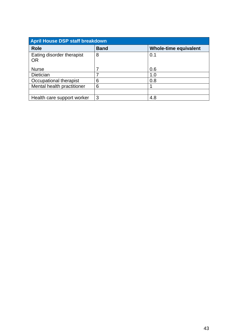| <b>April House DSP staff breakdown</b> |             |                              |  |
|----------------------------------------|-------------|------------------------------|--|
| <b>Role</b>                            | <b>Band</b> | <b>Whole-time equivalent</b> |  |
| Eating disorder therapist<br><b>OR</b> | 8           | 0.1                          |  |
| <b>Nurse</b>                           | 7           | 0.6                          |  |
| <b>Dietician</b>                       |             | 1.0                          |  |
| Occupational therapist                 | 6           | 0.8                          |  |
| Mental health practitioner             | 6           |                              |  |
|                                        |             |                              |  |
| Health care support worker             | 3           | 4.8                          |  |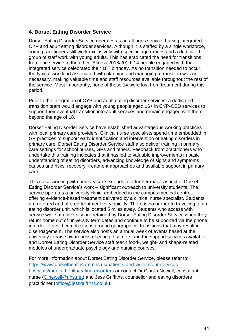## <span id="page-43-0"></span>**4. Dorset Eating Disorder Service**

Dorset Eating Disorder Service operates as an all-ages service, having integrated CYP and adult eating disorder services. Although it is staffed by a single workforce, some practitioners still work exclusively with specific age ranges and a dedicated group of staff work with young adults. This has eradicated the need for transitions from one service to the other. Across 2018/2019, 14 people engaged with the integrated service celebrated their  $18<sup>th</sup>$  birthday. As no transition needed to occur, the typical workload associated with planning and managing a transition was not necessary, making valuable time and staff resources available throughout the rest of the service. Most importantly, none of these 14 were lost from treatment during this period.

Prior to the integration of CYP and adult eating disorder services, a dedicated transition team would engage with young people aged 16+ in CYP-CED services to support their eventual transition into adult services and remain engaged with them beyond the age of 18.

Dorset Eating Disorder Service have established advantageous working practices with local primary care providers. Clinical nurse specialists spend time embedded in GP practices to support early identification and intervention of eating disorders in primary care. Dorset Eating Disorder Service staff also deliver training in primary care settings for school nurses, GPs and others. Feedback from practitioners who undertake this training indicates that it has led to valuable improvements in basic understanding of eating disorders, advancing knowledge of signs and symptoms, causes and risks, recovery, treatment approaches and available support in primary care.

This close working with primary care extends to a further major aspect of Dorset Eating Disorder Service's work – significant outreach to university students. The service operates a university clinic, embedded in the campus medical centre, offering evidence-based treatment delivered by a clinical nurse specialist. Students are referred and offered treatment very quickly. There is no barrier to travelling to an eating disorder unit, which is located 5 miles away. Students who access with service while at university are retained by Dorset Eating Disorder Service when they return home out of university term dates and continue to be supported via the phone, in order to avoid complications around geographical transitions that may result in disengagement. The service also hosts an annual week of events based at the university to raise awareness of eating disorders and the support services available, and Dorset Eating Disorder Service staff teach food-, weight- and shape-related modules of undergraduate psychology and nursing courses.

For more information about Dorset Eating Disorder Service, please refer to: [https://www.dorsethealthcare.nhs.uk/patients-and-visitors/our-services](https://www.dorsethealthcare.nhs.uk/patients-and-visitors/our-services-hospitals/mental-health/eating-disorders)[hospitals/mental-health/eating-disorders](https://www.dorsethealthcare.nhs.uk/patients-and-visitors/our-services-hospitals/mental-health/eating-disorders) or contact Dr Ciarán Newell, consultant nurse [\(C.newell@nhs.net\)](mailto:C.newell@nhs.net) and Jess Griffiths, counsellor and eating disorders practitioner [\(office@jessgriffiths.co.uk\)](mailto:office@jessgriffiths.co.uk).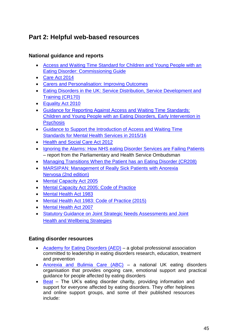# <span id="page-44-0"></span>**Part 2: Helpful web-based resources**

## <span id="page-44-1"></span>**National guidance and reports**

- [Access and Waiting Time Standard for Children and Young People with an](https://www.england.nhs.uk/wp-content/uploads/2015/07/cyp-eating-disorders-access-waiting-time-standard-comm-guid.pdf)  [Eating](https://www.england.nhs.uk/wp-content/uploads/2015/07/cyp-eating-disorders-access-waiting-time-standard-comm-guid.pdf) [Disorder: Commissioning Guide](https://www.england.nhs.uk/wp-content/uploads/2015/07/cyp-eating-disorders-access-waiting-time-standard-comm-guid.pdf)
- [Care Act 2014](http://www.legislation.gov.uk/ukpga/2014/23/pdfs/ukpga_20140023_en.pdf)
- [Carers and Personalisation: Improving Outcomes](https://www.gov.uk/government/uploads/system/uploads/attachment_data/file/213806/dh_122383.pdf)
- [Eating Disorders in the UK: Service Distribution, Service Development and](https://www.rcpsych.ac.uk/docs/default-source/improving-care/better-mh-policy/college-reports/college-report-cr170.pdf?sfvrsn=974722c1_2)  [Training](https://www.rcpsych.ac.uk/docs/default-source/improving-care/better-mh-policy/college-reports/college-report-cr170.pdf?sfvrsn=974722c1_2) [\(CR170\)](https://www.rcpsych.ac.uk/docs/default-source/improving-care/better-mh-policy/college-reports/college-report-cr170.pdf?sfvrsn=974722c1_2)
- [Equality Act 2](http://www.legislation.gov.uk/ukpga/2010/15/pdfs/ukpga_20100015_en.pdf)010
- [Guidance for Reporting Against Access and Waiting Time Standards:](https://www.england.nhs.uk/mentalhealth/wp-content/uploads/sites/29/2016/02/tech-cyped-eip.pdf)  [Children and](https://www.england.nhs.uk/mentalhealth/wp-content/uploads/sites/29/2016/02/tech-cyped-eip.pdf) [Young People with an Eating Disorders, Early Intervention in](https://www.england.nhs.uk/mentalhealth/wp-content/uploads/sites/29/2016/02/tech-cyped-eip.pdf)  **Psychosis**
- [Guidance to Support the Introduction of Access and Waiting Time](https://www.england.nhs.uk/wp-content/uploads/2015/02/mh-access-wait-time-guid.pdf)  [Standards for](https://www.england.nhs.uk/wp-content/uploads/2015/02/mh-access-wait-time-guid.pdf) [Mental Health Services in 2015/16](https://www.england.nhs.uk/wp-content/uploads/2015/02/mh-access-wait-time-guid.pdf)
- [Health and Social Care Act 2](http://www.legislation.gov.uk/ukpga/2012/7/contents)012
- [Ignoring the Alarms: How NHS eating Disorder Services are Failing Patients](https://www.ombudsman.org.uk/sites/default/files/page/FINAL%20FOR%20WEB%20Anorexia%20Report.pdf) – report from the Parliamentary and Health Service Ombudsman
- [Managing Transitions When the Patient has an Eating Disorder \(CR208\)](https://www.rcpsych.ac.uk/docs/default-source/improving-care/better-mh-policy/college-reports/college-report-cr208.pdf?sfvrsn=ace4d5db_2)
- [MARSIPAN: Management of Really Sick Patients with Anorexia](https://www.rcpsych.ac.uk/docs/default-source/improving-care/better-mh-policy/college-reports/college-report-cr189.pdf?sfvrsn=6c2e7ada_2)  [Nervosa \(2nd](https://www.rcpsych.ac.uk/docs/default-source/improving-care/better-mh-policy/college-reports/college-report-cr189.pdf?sfvrsn=6c2e7ada_2) [edition\)](https://www.rcpsych.ac.uk/docs/default-source/improving-care/better-mh-policy/college-reports/college-report-cr189.pdf?sfvrsn=6c2e7ada_2)
- [Mental Capacity Act 2](http://www.legislation.gov.uk/ukpga/2005/9/contents)005
- [Mental Capacity Act 2005: Code of Practice](https://www.gov.uk/government/uploads/system/uploads/attachment_data/file/497253/Mental-capacity-act-code-of-practice.pdf)
- [Mental Health Act 1](http://www.legislation.gov.uk/ukpga/1983/20/pdfs/ukpga_19830020_en.pdf)983
- [Mental Health Act 1983: Code of Practice \(2015\)](http://www.crisiscareconcordat.org.uk/wp-content/uploads/2015/01/Code_of_Practice.pdf)
- [Mental Health Act 2007](https://www.legislation.gov.uk/ukpga/2007/12/contents)
- [Statutory Guidance on Joint Strategic Needs Assessments and Joint](https://www.gov.uk/government/uploads/system/uploads/attachment_data/file/277012/Statutory-Guidance-on-Joint-Strategic-Needs-Assessments-and-Joint-Health-and-Wellbeing-Strategies-March-20131.pdf)  [Health and](https://www.gov.uk/government/uploads/system/uploads/attachment_data/file/277012/Statutory-Guidance-on-Joint-Strategic-Needs-Assessments-and-Joint-Health-and-Wellbeing-Strategies-March-20131.pdf) [Wellbeing Strategies](https://www.gov.uk/government/uploads/system/uploads/attachment_data/file/277012/Statutory-Guidance-on-Joint-Strategic-Needs-Assessments-and-Joint-Health-and-Wellbeing-Strategies-March-20131.pdf)

## <span id="page-44-2"></span>**Eating disorder resources**

- [Academy for Eating Disorders \(AED\)](https://www.aedweb.org/home) a global professional association committed to leadership in eating disorders research, education, treatment and prevention
- [Anorexia and Bulimia Care \(ABC\)](http://www.anorexiabulimiacare.org.uk/) a national UK eating disorders organisation that provides ongoing care, emotional support and practical guidance for people affected by eating disorders
- [Beat](https://www.beateatingdisorders.org.uk/) The UK's eating disorder charity, providing information and support for everyone affected by eating disorders. They offer helplines and online support groups, and some of their published resources include: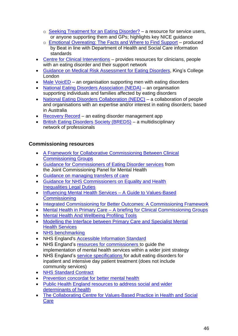- o [Seeking Treatment for an Eating Disorder?](https://www.beateatingdisorders.org.uk/uploads/documents/2017/10/gp-leaflet-website.pdf) a resource for service users, or anyone supporting them and GPs; highlights key NICE guidance
- o [Emotional Overeating: The Facts and Where to Find Support](https://www.beateatingdisorders.org.uk/uploads/documents/2018/9/emotional-overeating.pdf) produced by Beat in line with Department of Health and Social Care information standards
- [Centre for Clinical Interventions](https://www.cci.health.wa.gov.au/Resources/For-Clinicians/Eating-Disorders) provides resources for clinicians, people with an eating disorder and their support network
- [Guidance on Medical Risk Assessment for Eating Disorders, K](https://www.kcl.ac.uk/ioppn/depts/pm/research/eatingdisorders/resources/GUIDETOMEDICALRISKASSESSMENT.pdf)ing's College London
- [Male VoicED](https://www.malevoiced.com/) an organisation supporting men with eating disorders
- [National Eating Disorders Association \(NEDA\)](https://www.nationaleatingdisorders.org/) an organisation supporting individuals and families affected by eating disorders
- [National Eating Disorders Collaboration \(NEDC\)](https://nedc.com.au/) a collaboration of people and organisations with an expertise and/or interest in eating disorders; based in Australia
- [Recovery Record](https://www.recoveryrecord.com/) an eating disorder management app
- [British Eating Disorders Society \(BREDS\)](http://breds.org.uk/) a multidisciplinary network of professionals

## <span id="page-45-0"></span>**Commissioning resources**

- [A Framework for Collaborative Commissioning Between Clinical](https://www.england.nhs.uk/wp-content/uploads/2012/03/collab-commiss-frame.pdf)  [Commissioning](https://www.england.nhs.uk/wp-content/uploads/2012/03/collab-commiss-frame.pdf) [Groups](https://www.england.nhs.uk/wp-content/uploads/2012/03/collab-commiss-frame.pdf)
- [Guidance for Commissioners of Eating Disorder services](https://www.jcpmh.info/resource/guidance-commissioners-eating-disorder-services/) from the Joint Commissioning Panel for Mental Health
- [Guidance on managing transfers of care](https://www.local.gov.uk/our-support/our-improvement-offer/care-and-health-improvement/systems-resilience/guidance)
- Guidance for NHS Commissioners on Equality and Health [Inequalities Legal](https://www.england.nhs.uk/wp-content/uploads/2015/12/hlth-inqual-guid-comms-dec15.pdf) [Duties](https://www.england.nhs.uk/wp-content/uploads/2015/12/hlth-inqual-guid-comms-dec15.pdf)
- [Influencing Mental Health Services –](http://www.mind.org.uk/media/977059/influencing-mental-health-services-guide.pdf) A Guide to Values-Based **[Commissioning](http://www.mind.org.uk/media/977059/influencing-mental-health-services-guide.pdf)**
- [Integrated Commissioning for Better Outcomes: A Commissioning Framework](https://www.local.gov.uk/sites/default/files/documents/25.70_Integrated%20Commissioning%20for%20Better%20Outcomes_final.pdf)
- Mental Health in Primary Care [A briefing for Clinical Commissioning Groups](https://www.mind.org.uk/media/4556511/13296_primary-care-policy_web_op.pdf)
- [Mental Health And Wellbeing Profiling Tools](https://fingertips.phe.org.uk/profile-group/mental-health)
- [Modelling the Interface between Primary Care and Specialist Mental](https://www.rcpsych.ac.uk/docs/default-source/improving-care/ccqi/ccqi-research-and-evaluation/ccqi-research-interface-scn-interface-study-report.pdf?sfvrsn=a5a62f36_2)  **[Health](https://www.rcpsych.ac.uk/docs/default-source/improving-care/ccqi/ccqi-research-and-evaluation/ccqi-research-interface-scn-interface-study-report.pdf?sfvrsn=a5a62f36_2) [Services](https://www.rcpsych.ac.uk/docs/default-source/improving-care/ccqi/ccqi-research-and-evaluation/ccqi-research-interface-scn-interface-study-report.pdf?sfvrsn=a5a62f36_2)**
- NHS [benchmarking](https://www.nhsbenchmarking.nhs.uk/)
- NHS England's [Accessible Information Standard](https://www.england.nhs.uk/ourwork/accessibleinfo/)
- NHS England's [resources for commissioners](https://www.england.nhs.uk/commissioning/) to quide the implementation of mental health services within a wider joint strategy
- NHS England's [service specifications](https://www.england.nhs.uk/commissioning/wp-content/uploads/sites/12/2014/12/c01-spec-eat-dis-1214.pdf) for adult eating disorders for inpatient and intensive day patient treatment (does not include community services)
- [NHS Standard Contract](https://www.england.nhs.uk/nhs-standard-contract/)
- [Prevention concordat for better mental health](https://www.gov.uk/government/collections/prevention-concordat-for-better-mental-health)
- [Public Health England resources to address social and wider](https://www.gov.uk/government/news/phe-highlights-8-ways-for-local-areas-to-prevent-mental-ill-health)  [determinants](https://www.gov.uk/government/news/phe-highlights-8-ways-for-local-areas-to-prevent-mental-ill-health) of [health](https://www.gov.uk/government/news/phe-highlights-8-ways-for-local-areas-to-prevent-mental-ill-health)
- [The Collaborating Centre for Values-Based Practice in Health and Social](http://valuesbasedpractice.org/)  **[Care](http://valuesbasedpractice.org/)**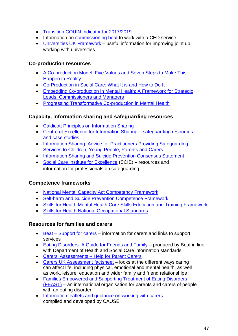- [Transition CQUIN Indicator for 2017/2019](https://www.england.nhs.uk/nhs-standard-contract/cquin/cquin-17-19/)
- Information on [commissioning beat](https://www.beateatingdisorders.org.uk/commission-us) to work with a CED service
- [Universities UK Framework](https://www.universitiesuk.ac.uk/policy-and-analysis/stepchange/Pages/framework.aspx) useful information for improving joint up working with universities

## <span id="page-46-0"></span>**Co-production resources**

- [A Co-production Model: Five Values and Seven Steps to Make This](http://coalitionforcollaborativecare.org.uk/wp-content/uploads/2016/07/C4CC-Co-production-Model.pdf)  [Happen in](http://coalitionforcollaborativecare.org.uk/wp-content/uploads/2016/07/C4CC-Co-production-Model.pdf) [Reality](http://coalitionforcollaborativecare.org.uk/wp-content/uploads/2016/07/C4CC-Co-production-Model.pdf)
- [Co-Production in Social Care: What It is and How to Do It](https://www.ndti.org.uk/uploads/files/Coproduction_Guide51Fin.pdf)
- [Embedding Co-production in Mental Health: A Framework for Strategic](https://www.ndti.org.uk/uploads/files/MH_Coproduction_framework.pdf)  [Leads,](https://www.ndti.org.uk/uploads/files/MH_Coproduction_framework.pdf) [Commissioners and Managers](https://www.ndti.org.uk/uploads/files/MH_Coproduction_framework.pdf)
- [Progressing Transformative Co-production in Mental Health](https://www.ndti.org.uk/uploads/files/MH_Coproduction_guide.pdf)

## <span id="page-46-1"></span>**Capacity, information sharing and safeguarding resources**

- [Caldicott Principles on Information Sharing](https://assets.publishing.service.gov.uk/government/uploads/system/uploads/attachment_data/file/251750/9731-2901141-TSO-Caldicott-Government_Response_ACCESSIBLE.PDF)
- [Centre of Excellence for Information Sharing –](http://informationsharing.org.uk/reports/) safeguarding resources [and case](http://informationsharing.org.uk/reports/) [studies](http://informationsharing.org.uk/reports/)
- [Information Sharing: Advice for Practitioners Providing Safeguarding](https://assets.publishing.service.gov.uk/government/uploads/system/uploads/attachment_data/file/721581/Information_sharing_advice_practitioners_safeguarding_services.pdf)  [Services to](https://assets.publishing.service.gov.uk/government/uploads/system/uploads/attachment_data/file/721581/Information_sharing_advice_practitioners_safeguarding_services.pdf) [Children, Young People, Parents and Carers](https://assets.publishing.service.gov.uk/government/uploads/system/uploads/attachment_data/file/721581/Information_sharing_advice_practitioners_safeguarding_services.pdf)
- [Information Sharing and Suicide Prevention Consensus Statement](https://www.gov.uk/government/uploads/system/uploads/attachment_data/file/271792/Consensus_statement_on_information_sharing.pdf)
- [Social Care Institute for Excellence](https://www.scie.org.uk/safeguarding) (SCIE) resources and information for professionals on safeguarding

## <span id="page-46-2"></span>**Competence frameworks**

- [National Mental Capacity Act Competency Framework](https://www.suffolk.gov.uk/assets/Adult-social-care-and-health/mental-capacity-and-deprivation-of-liberty-safeguards/National-MCA-Competency-Framework.pdf)
- [Self-harm and Suicide Prevention Competence Framework](https://www.ucl.ac.uk/pals/research/clinical-educational-and-health-psychology/research-groups/core/competence-frameworks/self)
- [Skills for Health Mental Health Core Skills Education and Training Framework](http://www.skillsforhealth.org.uk/services/item/332-mental-health-core-skills-education-and-training-framework)
- [Skills for Health National Occupational Standards](http://www.skillsforhealth.org.uk/standards/item/215-national-occupational-standards)

## <span id="page-46-3"></span>**Resources for families and carers**

- Beat [Support for carers](https://www.beateatingdisorders.org.uk/recovery-information/support-for-carers) information for carers and links to support services
- [Eating Disorders: A Guide for Friends and Family](https://www.beateatingdisorders.org.uk/uploads/documents/2018/5/carers-booklet-1.pdf) produced by Beat in line with Department of Health and Social Care information standards
- [Carers' Assessments –](http://www.cafamily.org.uk/media/925803/carers_assessments.pdf) Help for Parent Carers
- [Carers UK Assessment factsheet](https://www.carersuk.org/files/helpandadvice/2589/factsheet-ew1020--assessments.pdf) looks at the different ways caring can affect life, including physical, emotional and mental health, as well as work, leisure, education and wider family and friend relationships
- [Families Empowered and Supporting Treatment of Eating Disorders](https://www.feast-ed.org/)  [\(FEAST\)](https://www.feast-ed.org/) – an international organisation for parents and carers of people with an eating disorder
- Information leaflets and quidance on working with carers compiled and developed by CAUSE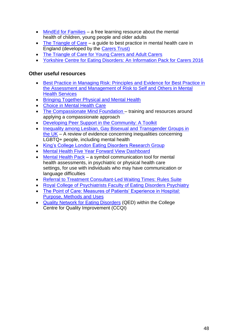- [MindEd for Families](https://mindedforfamilies.org.uk/) a free learning resource about the mental health of children, young people and older adults
- [The Triangle of Care](https://professionals.carers.org/sites/default/files/thetriangleofcare_guidetobestpracticeinmentalhealthcare_england.pdf) a guide to best practice in mental health care in England (developed by the [Carers Trust\)](https://carers.org/)
- [The Triangle of Care for Young Carers and Adult Carers](https://professionals.carers.org/sites/default/files/toc_ycyac-proof4.pdf)
- [Yorkshire Centre for Eating Disorders: An Information Pack for Carers 2016](http://www.leedsandyorkpft.nhs.uk/our-services/wp-content/uploads/sites/2/2016/10/yced-carers-information-booklet16.pdf)

## <span id="page-47-0"></span>**Other useful resources**

- [Best Practice in Managing Risk: Principles and Evidence for Best Practice in](http://webarchive.nationalarchives.gov.uk/+/www.dh.gov.uk/prod_consum_dh/groups/dh_digitalassets/@dh/@en/documents/digitalasset/dh_076512.pdf)  [the](http://webarchive.nationalarchives.gov.uk/+/www.dh.gov.uk/prod_consum_dh/groups/dh_digitalassets/@dh/@en/documents/digitalasset/dh_076512.pdf) [Assessment and Management of Risk to Self and Others in Mental](http://webarchive.nationalarchives.gov.uk/+/www.dh.gov.uk/prod_consum_dh/groups/dh_digitalassets/@dh/@en/documents/digitalasset/dh_076512.pdf)  [Health Services](http://webarchive.nationalarchives.gov.uk/+/www.dh.gov.uk/prod_consum_dh/groups/dh_digitalassets/@dh/@en/documents/digitalasset/dh_076512.pdf)
- [Bringing Together Physical and Mental Health](http://www.kingsfund.org.uk/publications/physical-and-mental-health)
- [Choice in Mental Health Care](https://www.england.nhs.uk/wp-content/uploads/2018/02/choice-in-mental-health-care-v2.pdf)
- The [Compassionate Mind F](https://compassionatemind.co.uk/)oundation training and resources around applying a compassionate approach
- [Developing Peer Support in the Community: A Toolkit](https://www.mind.org.uk/media/17944275/peer-support-toolkit-final.pdf)
- [Inequality among Lesbian, Gay Bisexual and Transgender Groups in](https://assets.publishing.service.gov.uk/government/uploads/system/uploads/attachment_data/file/539682/160719_REPORT_LGBT_evidence_review_NIESR_FINALPDF.pdf)  [the UK](https://assets.publishing.service.gov.uk/government/uploads/system/uploads/attachment_data/file/539682/160719_REPORT_LGBT_evidence_review_NIESR_FINALPDF.pdf) – A review of evidence concerning inequalities concerning LGBTQ+ people, including mental health
- [King's College London Eating Disorders Research Group](http://www.kcl.ac.uk/ioppn/depts/pm/research/eatingdisorders/index.aspx)
- [Mental Health Five Year Forward View Dashboard](https://www.england.nhs.uk/mentalhealth/taskforce/imp/mh-dashboard/)
- [Mental Health Pack](https://www.widgit.com/products/health/mental-health-pack.htm#overview) a symbol communication tool for mental health assessments, in psychiatric or physical health care settings, for use with individuals who may have communication or language difficulties
- [Referral to Treatment Consultant-Led Waiting Times: Rules Suite](https://www.gov.uk/government/uploads/system/uploads/attachment_data/file/464956/RTT_Rules_Suite_October_2015.pdf)
- [Royal College of Psychiatrists Faculty of Eating Disorders Psychiatry](https://www.rcpsych.ac.uk/members/your-faculties/eating-disorders-psychiatry)
- [The Point of Care: Measures of Patients' Experience in Hospital:](https://www.kingsfund.org.uk/sites/files/kf/Point-of-Care-Measures-of-patients-experience-in-hospital-Kings-Fund-July-2009.pdf)  [Purpose,](https://www.kingsfund.org.uk/sites/files/kf/Point-of-Care-Measures-of-patients-experience-in-hospital-Kings-Fund-July-2009.pdf) [Methods and Uses](https://www.kingsfund.org.uk/sites/files/kf/Point-of-Care-Measures-of-patients-experience-in-hospital-Kings-Fund-July-2009.pdf)
- [Quality Network for Eating Disorders](https://www.rcpsych.ac.uk/improving-care/ccqi/quality-networks-accreditation/eating-disorders-qed) (QED) within the College Centre for Quality Improvement (CCQI)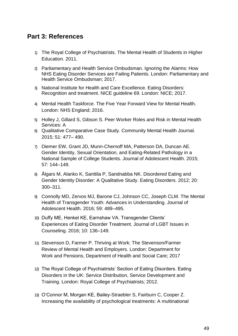# <span id="page-48-0"></span>**Part 3: References**

- 1) The Royal College of Psychiatrists. The Mental Health of Students in Higher Education. 2011.
- 2) Parliamentary and Health Service Ombudsman. Ignoring the Alarms: How NHS Eating Disorder Services are Failing Patients. London: Parliamentary and Health Service Ombudsman; 2017.
- 3) National Institute for Health and Care Excellence. Eating Disorders: Recognition and treatment. NICE guideline 69. London: NICE; 2017.
- 4) Mental Health Taskforce. The Five Year Forward View for Mental Health. London: NHS England; 2016.
- 5) Holley J, Gillard S, Gibson S. Peer Worker Roles and Risk in Mental Health Services: A
- 6) Qualitative Comparative Case Study. Community Mental Health Journal. 2015; 51: 477– 490.
- 7) Diemer EW, Grant JD, Munn-Chernoff MA, Patterson DA, Duncan AE. Gender Identity, Sexual Orientation, and Eating-Related Pathology in a National Sample of College Students. Journal of Adolescent Health. 2015; 57: 144–149.
- 8) Ålgars M, Alanko K, Santtila P, Sandnabba NK. Disordered Eating and Gender Identity Disorder: A Qualitative Study. Eating Disorders. 2012; 20: 300–311.
- 9) Connolly MD, Zervos MJ, Barone CJ, Johnson CC, Joseph CLM. The Mental Health of Transgender Youth: Advances in Understanding. Journal of Adolescent Health. 2016; 59: 489–495.
- 10) Duffy ME, Henkel KE, Earnshaw VA. Transgender Clients' Experiences of Eating Disorder Treatment. Journal of LGBT Issues in Counseling. 2016; 10: 136–149.
- 11) Stevenson D, Farmer P. Thriving at Work: The Stevenson/Farmer Review of Mental Health and Employers. London: Department for Work and Pensions, Department of Health and Social Care; 2017
- 12) The Royal College of Psychiatrists' Section of Eating Disorders. Eating Disorders in the UK: Service Distribution, Service Development and Training. London: Royal College of Psychiatrists; 2012.
- 13) O'Connor M, Morgan KE, Bailey-Straebler S, Fairburn C, Cooper Z. Increasing the availability of psychological treatments: A multinational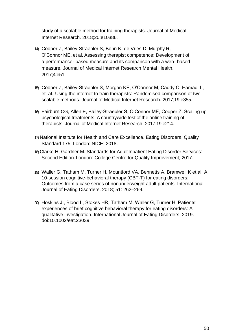study of a scalable method for training therapists. Journal of Medical Internet Research. 2018;20:e10386.

- 14) Cooper Z, Bailey-Straebler S, Bohn K, de Vries D, Murphy R, O'Connor ME, et al. Assessing therapist competence: Development of a performance- based measure and its comparison with a web- based measure. Journal of Medical Internet Research Mental Health. 2017;4:e51.
- 15) Cooper Z, Bailey-Straebler S, Morgan KE, O'Connor M, Caddy C, Hamadi L, et al. Using the internet to train therapists: Randomised comparison of two scalable methods. Journal of Medical Internet Research. 2017;19:e355.
- 16) Fairburn CG, Allen E, Bailey-Straebler S, O'Connor ME, Cooper Z. Scaling up psychological treatments: A countrywide test of the online training of therapists. Journal of Medical Internet Research. 2017;19:e214.
- 17)National Institute for Health and Care Excellence. Eating Disorders. Quality Standard 175. London: NICE; 2018.
- 18)Clarke H, Gardner M. Standards for Adult Inpatient Eating Disorder Services: Second Edition.London: College Centre for Quality Improvement; 2017.
- 19) Waller G, Tatham M, Turner H, Mountford VA, Bennetts A, Bramwell K et al. A 10-session cognitive-behavioral therapy (CBT-T) for eating disorders: Outcomes from a case series of nonunderweight adult patients. International Journal of Eating Disorders. 2018; 51: 262–269.
- 20) Hoskins JI, Blood L, Stokes HR, Tatham M, Waller G, Turner H. Patients' experiences of brief cognitive behavioral therapy for eating disorders: A qualitative investigation. International Journal of Eating Disorders. 2019. doi:10.1002/eat.23039.